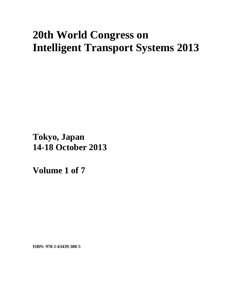# **20th World Congress on Intelligent Transport Systems 2013**

**Tokyo, Japan 14-18 October 2013**

**Volume 1 of 7** 

**ISBN: 978-1-63439-380-5**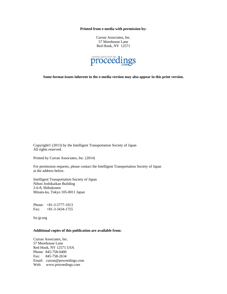**Printed from e-media with permission by:** 

Curran Associates, Inc. 57 Morehouse Lane Red Hook, NY 12571



**Some format issues inherent in the e-media version may also appear in this print version.** 

Copyright© (2013) by the Intelligent Transportation Society of Japan All rights reserved.

Printed by Curran Associates, Inc. (2014)

For permission requests, please contact the Intelligent Transportation Society of Japan at the address below.

Intelligent Transportation Society of Japan Nihon Joshikaikan Building 2-6-8, Shibakouen Minata-ku, Tokyo 105-0011 Japan

Phone: +81-3-5777-1013 Fax: +81-3-3434-1755

Its-jp.org

#### **Additional copies of this publication are available from:**

Curran Associates, Inc. 57 Morehouse Lane Red Hook, NY 12571 USA Phone: 845-758-0400 Fax: 845-758-2634 Email: curran@proceedings.com Web: www.proceedings.com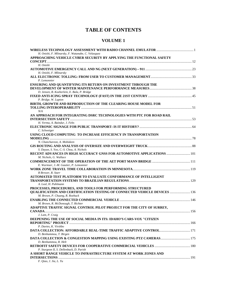# **TABLE OF CONTENTS**

### **VOLUME 1**

| H. Onishi, F. Mlinarsky, F. Watanabe, C. Velasquez                                                           |  |
|--------------------------------------------------------------------------------------------------------------|--|
| APPROACHING VEHICLE CYBER SECURITY BY APPLYING THE FUNCTIONAL SAFETY                                         |  |
|                                                                                                              |  |
| H. Onishi                                                                                                    |  |
| H. Onishi, F. Mlinarsky                                                                                      |  |
| P. Lemonnier                                                                                                 |  |
| ENSURING AND QUANTIFYING ITS RETURN ON INVESTMENT THROUGH THE                                                |  |
| D. Jensen, B. Koeberlein, E. Bala, P. Bridge<br>P. Bridge, W. Lupton                                         |  |
| BIRTH, GROWTH AND REPRODUCTION OF THE CLEARING HOUSE MODEL FOR                                               |  |
| N/A<br>AN APPROACH FOR INTEGRATING DSRC TECHNOLOGIES WITH PTC FOR ROAD RAIL                                  |  |
|                                                                                                              |  |
| H. Verma, A. Baindur, J. Felts<br>C. Schweiger                                                               |  |
| USING CLOUD COMPUTING TO INCREASE EFFICIENCY IN TRANSPORTATION                                               |  |
|                                                                                                              |  |
| N. Chanchareon, A. Mohideen                                                                                  |  |
|                                                                                                              |  |
| S. Dayan, S. Yoo, C.-S. Chou, A. Nichols                                                                     |  |
| RECENT ADVANCES IN HIGH ACCURACY GNSS FOR AUTOMOTIVE APPLICATIONS  101<br>M. Nichols, G. Wallace             |  |
|                                                                                                              |  |
| E. Wurmser, J.-M. Gautier, P. Lemonnier                                                                      |  |
|                                                                                                              |  |
| R Brewer, R. Starr                                                                                           |  |
| <b>AUTOMATED TEST PLATFORM TO EVALUATE CONFORMANCE OF INTELLIGENT</b>                                        |  |
|                                                                                                              |  |
| A. Leal, H. Puhlmann                                                                                         |  |
| PROCESSES, PROCEDURES, AND TOOLS FOR PERFORMING STRUCTURED                                                   |  |
| QUALIFICATION AND CERTIFICATION TESTING OF CONNECTED VEHICLE DEVICES  136<br>M. Brown, P. Chuang, R. Roebuck |  |
|                                                                                                              |  |
| M. Brown, R. McDonough, T. Richter                                                                           |  |
| ADAPTIVE TRAFFIC SIGNAL CONTROL PILOT PROJECT FOR THE CITY OF SURREY,                                        |  |
|                                                                                                              |  |
| J. Lam, P. Craig                                                                                             |  |
| DEEPENING THE USE OF SOCIAL MEDIA IN ITS: IDAHO'S CARS-VOX "CITIZEN                                          |  |
|                                                                                                              |  |
| P. Davies, K. Virshbo                                                                                        |  |
|                                                                                                              |  |
| D. Benhammou, T. Birgen                                                                                      |  |
| D. Benhammou, R. Helt                                                                                        |  |
|                                                                                                              |  |
| P. Sturgeon II, S. Dellenback, D. Parish                                                                     |  |
| A SHORT RANGE VEHICLE TO INFRASTRUCTURE SYSTEM AT WORK ZONES AND                                             |  |
|                                                                                                              |  |

*F. Qiao, J. Jia, L. Yu*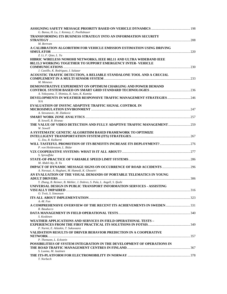| G. Bansa, H. Lu, J. Kenney, C. Poellabauer<br>TRANSFORMING ITS BUSINESS STRATEGY INTO AN INFORMATION SECURITY         |  |
|-----------------------------------------------------------------------------------------------------------------------|--|
|                                                                                                                       |  |
| M. Bertram                                                                                                            |  |
| A CALIBRATION ALGORITHM FOR VEHICLE EMISSION ESTIMATION USING DRIVING                                                 |  |
|                                                                                                                       |  |
| Z. Li, F. Qiao, L. Yu                                                                                                 |  |
| HIBRIC WIRELESS NOMOHI NETWORKS, IEEE 802.11 AND ULTRA WIDEBAND IEEE                                                  |  |
| 802.15.3 WORKING TOGETHER TO SUPPORT EMERGENCY INTER-VEHICLE                                                          |  |
| J. Castillo, K. Rodriguez, I. Salazar                                                                                 |  |
| ACOUSTIC TRAFFIC DETECTION, A RELIABLE STANDALONE TOOL AND A CRUCIAL                                                  |  |
|                                                                                                                       |  |
| M. Meneses                                                                                                            |  |
| <b>DEMONSTRATIVE EXPERIMENT ON OPTIMUM CHARGING AND POWER DEMAND</b>                                                  |  |
| A. Yokoyama, T. Shimizu, K. Sato, K. Kumita                                                                           |  |
| <b>DEVELOPMENTS IN WEATHER RESPONSIVE TRAFFIC MANAGEMENT STRATEGIES 246</b>                                           |  |
| N/A                                                                                                                   |  |
| <b>EVALUATION OF INSYNC ADAPTIVE TRAFFIC SIGNAL CONTROL IN</b>                                                        |  |
|                                                                                                                       |  |
| A. Stevanovic, M. Zlatkovic                                                                                           |  |
| B. Sowell, R. Hranac                                                                                                  |  |
| THE VALUE OF VIDEO DETECTION AND FULLY ADAPTIVE TRAFFIC MANAGEMENT 259                                                |  |
| W. Sowell                                                                                                             |  |
| A SYSTEMATIC GENETIC ALGORITHM BASED FRAMEWORK TO OPTIMIZE                                                            |  |
|                                                                                                                       |  |
| G. Zou, R. Kulkarni                                                                                                   |  |
| P. von Heidenstam, L. Bidar                                                                                           |  |
|                                                                                                                       |  |
| S. Sprouffske                                                                                                         |  |
|                                                                                                                       |  |
| M. Abdel-Aty, R. Yu                                                                                                   |  |
|                                                                                                                       |  |
| A. Norouzi, A. Haghani, M. Hamedi, K. Ghoseiri<br>AN EVALUATION OF THE VISUAL DEMANDS OF PORTABLE TELEMATICS IN YOUNG |  |
|                                                                                                                       |  |
| Y. Zhang, B. Reimer, B. Mehler, J. Dobres, S. Pala, L. Angell, S. Ifushi                                              |  |
| UNIVERSAL DESIGN IN PUBLIC TRANSPORT INFORMATION SERVICES - ASSISTING                                                 |  |
|                                                                                                                       |  |
| O. Tveit, S. Simonsen                                                                                                 |  |
| $A.-M.$ Fon                                                                                                           |  |
|                                                                                                                       |  |
| R. Bauducco                                                                                                           |  |
|                                                                                                                       |  |
| S. Koskinen                                                                                                           |  |
| WEATHER APPLICATIONS AND SERVICES IN FIELD OPERATIONAL TESTS -                                                        |  |
| P. Nurmi, E. Atlaskin, T. Sukuvaara                                                                                   |  |
| <b>VALIDATION RESULTS OF DRIVER BEHAVIOR PREDICTION IN A COOPERATIVE</b>                                              |  |
|                                                                                                                       |  |
| P. Themann, L. Eckstein                                                                                               |  |
| POSSIBILITIES OF SYSTEM INTEGRATION IN THE DEVELOPMENT OF OPERATIONS IN                                               |  |
| S. Luoma, M. Jaatinen                                                                                                 |  |
|                                                                                                                       |  |
| T. Norbech                                                                                                            |  |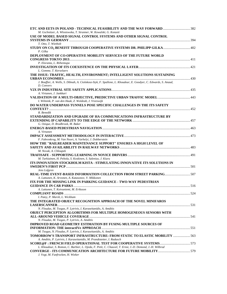| ETC AND EETS IN POLAND - TECHNICAL FEASIBILITY AND THE WAY FORWARD  382<br>M. Gschnitzer, A. Wlostowska, T. Stranner, W. Kowalski, G. Konzett |  |
|-----------------------------------------------------------------------------------------------------------------------------------------------|--|
| USE OF MODEL BASED SIGNAL CONTROL SYSTEMS AND OTHER SIGNAL CONTROL                                                                            |  |
|                                                                                                                                               |  |
| T. Otto, T. Wietholt                                                                                                                          |  |
| STUDY ON CO <sub>2</sub> BENEFIT THROUGH COOPERATIVE SYSTEMS DR. PHILIPP GILKA 402                                                            |  |
| P. Gilka                                                                                                                                      |  |
| <b>DEPLOYMENT OF CO-OPERATIVE MOBILITY SERVICES OF THE FUTURE WORLD</b>                                                                       |  |
|                                                                                                                                               |  |
|                                                                                                                                               |  |
| P. Eloranta, L. Riihentupa                                                                                                                    |  |
|                                                                                                                                               |  |
| L. Gomme, T. Kerselaers                                                                                                                       |  |
| THE ISSUE: TRAFFIC, HEALTH, ENVIRONMENT; INTELLIGENT SOLUTIONS SUSTAINING                                                                     |  |
| J. Bouffier, A. Wells, S. Dibnah, A. Ciolokosz-Styk, F. Spallone, L. Khoudour, E. Goodyer, C. Edwards, S. Anaud,                              |  |
| D. Convers                                                                                                                                    |  |
|                                                                                                                                               |  |
| A. Virtanen, J. Jankkari                                                                                                                      |  |
|                                                                                                                                               |  |
| VALIDATION OF A MULTI-OBJECTIVE, PREDICTIVE URBAN TRAFFIC MODEL  443<br>I. Wilmink, P. van den Haak, Z. Woldeab, J. Vreeswijk                 |  |
| DO WATER UNDERPASS TUNNELS POSE SPECIFIC CHALLENGES IN THE ITS SAFETY                                                                         |  |
|                                                                                                                                               |  |
| R. Benedik                                                                                                                                    |  |
|                                                                                                                                               |  |
| STANDARDIZATION AND UPGRADE OF HA COMMUNICATIONS INFRASTRUCTURE BY                                                                            |  |
|                                                                                                                                               |  |
| G. Ozique, D. Bradbrook, M. Baker                                                                                                             |  |
|                                                                                                                                               |  |
| A. Virtanen                                                                                                                                   |  |
|                                                                                                                                               |  |
| F. Fahrenkrog, M. Van Noort, A. Varhelyi, J. Dobberstein                                                                                      |  |
| HOW THE "RAILREADER MAINTENANCE SUPPORT" ENSURES A HIGH LEVEL OF                                                                              |  |
|                                                                                                                                               |  |
| M. Novak, A. Chloupek                                                                                                                         |  |
|                                                                                                                                               |  |
| M. Tarkiainen, H. Peltola, S. Koskinen, S. Salenius, J. Kiuru                                                                                 |  |
| ITS INNOVATION STOCKHOLM KISTA - STIMULATING INNOVATIVE ITS SOLUTIONS IN                                                                      |  |
|                                                                                                                                               |  |
| Jens Lofgren                                                                                                                                  |  |
|                                                                                                                                               |  |
| A. Lattunen, K. Arvonen, A. Katasonov, V. Mikkonen                                                                                            |  |
| FIX FOR THE MISSING LINK IN PARKING GUIDANCE - TWO-WAY PEDESTRIAN                                                                             |  |
|                                                                                                                                               |  |
| A. Lattunen, T. Koivuniemi, M. Eriksson                                                                                                       |  |
|                                                                                                                                               |  |
| I. Patey, P. Marsh, L. Wickham                                                                                                                |  |
| THE INTEGRATED OBJECT RECOGNITION APPROACH OF THE NOVEL MINIFAROS                                                                             |  |
|                                                                                                                                               |  |
| N. Floudas, M. Tsogas, P. Lytrivis, I. Karaseitanidis, A. Amditis                                                                             |  |
| OBJECT PERCEPTION ALGORITHMS FOR MULTIPLE HOMOGENEOUS SENSORS WITH                                                                            |  |
|                                                                                                                                               |  |
| N. Floudas, M. Tsogas, P. Lytrivis, A. Amditis                                                                                                |  |
| IMPROVED ROAD GEOMETRY ESTIMATION BY FUSING MULTIPLE SOURCES OF                                                                               |  |
|                                                                                                                                               |  |
| M. Tsogas, N. Floudas, P. Lytrivis, I. Karaseitanidis, A. Amditis                                                                             |  |
| TOMORROW'S TRANSPORT INFRASTRUCTURE: FROM STATIC TO ELASTIC MOBILITY  563                                                                     |  |
| A. Amditis, P. Lytrivis, I. Karaseitanidis, M. Prandtstetter, I. Radusch                                                                      |  |
|                                                                                                                                               |  |
| L. Khoudour, S. Romon, C. Barbier, L. Ojeda, F. Petit, C. Chauvel, T. Ernst, J.-D. Demond, J.-H. Wilbrod                                      |  |
|                                                                                                                                               |  |
| J. Vogt, M. Funfrocken, H. Wieker                                                                                                             |  |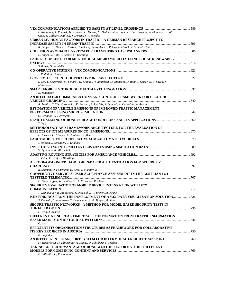| L. Khoudour, Y. Ruichek, H. Salmane, C. Meurie, M. Heddebaut, F. Boukour, J.-L. Bruyelle, A. Flancquart, J.-P.                                 |  |
|------------------------------------------------------------------------------------------------------------------------------------------------|--|
| Ghys, S. Collaert-Dutilleul, J. Dereux, J.-F. Mendes<br>UR:BAN MV HUMAN FACTORS IN TRAFFIC – A GERMAN RESEARCH PROJECT TO                      |  |
|                                                                                                                                                |  |
| K. Bengler, F. Busch, B. Farber, C. Lehsing, A. Neukum, I. Petermann-Stock, T. Schendzielorz                                                   |  |
|                                                                                                                                                |  |
| U. Lages, R. Katz, R. Schulz, M. Krahling                                                                                                      |  |
| FAHRE - CONCEPTS FOR MULTIMODAL MICRO MOBILITY USING LOCAL RENEWABLE                                                                           |  |
| S. Bauer, G. Wanielik                                                                                                                          |  |
|                                                                                                                                                |  |
| J. Rudolf, R. Guner                                                                                                                            |  |
|                                                                                                                                                |  |
| L. Lin, Y. Kobayashi, M. Lenardi, W. Klaudel, H. Inhuelsen, M. Bianconi, D. Roiu, J. Keiser, N. El Sayed, J.                                   |  |
| Maisonobe                                                                                                                                      |  |
| N. Johansson                                                                                                                                   |  |
| AN INTEGRATED COMMUNICATIONS AND CONTROL FRAMEWORK FOR ELECTRIC                                                                                |  |
|                                                                                                                                                |  |
| A. Amditis, T. Theodoropoulos, E. Portouli, P. Lytrivis, R. Schmidt, A. Calvedilla, A. Ankou                                                   |  |
| <b>ESTIMATION OF VEHICLE EMISSIONS OF IMPROVED TRAFFIC MANAGEMENT</b>                                                                          |  |
|                                                                                                                                                |  |
| O. Czogalla, A. Herrmann                                                                                                                       |  |
| T. Vaa                                                                                                                                         |  |
| METHODOLOGY AND FRAMEWORK ARCHITECTURE FOR THE EVALUATION OF                                                                                   |  |
|                                                                                                                                                |  |
| E. Jonkers, G. Klunder, M. Mahmod, T. Benz                                                                                                     |  |
|                                                                                                                                                |  |
| J. Nilsson, L. Stranden, C. Englund                                                                                                            |  |
| V. Zyryanov, A. Mironchuk                                                                                                                      |  |
|                                                                                                                                                |  |
| J. Zeihe, F. Wolf, D. Wessling                                                                                                                 |  |
| A PROOF-OF-CONCEPT FOR TOKEN-BASED AUTHENTICATION FOR SECURE EV                                                                                |  |
| R. Schmidt, D. Fuhrmann, H. Lenz, J. d'Annoville                                                                                               |  |
| <b>COOPERATIVE SERVICES: USER ACCEPTANCE ASSESSMENT IN THE AUSTRIAN FOT</b>                                                                    |  |
|                                                                                                                                                |  |
| D. Bankosegger, W. Schildorfer, A. Frotscher, R. Ebner                                                                                         |  |
| SECURITY EVALUATION OF MOBILE DEVICE INTEGRATION WITH V2X                                                                                      |  |
|                                                                                                                                                |  |
| T. Leinmueller, B. Atanassow, S. Diewald, L.-P. Brever, M. Kranz<br>KEY FINDINGS FROM THE DEVELOPMENT OF A V2X DATA VISUALIZATION SOLUTION 726 |  |
| S. Diewald, B. Atanassow, T. Leinmueller, L.-P. Breyer, M. Kranz                                                                               |  |
| SECURE TRAFFIC NETWORKS - A METHOD FOR MODEL BASED SECURITY TESTS IN                                                                           |  |
|                                                                                                                                                |  |
| F. Wolf, J. Krause                                                                                                                             |  |
| DIFFERENTIATING REAL TIME TRAFFIC INFORMATION FROM TRAFFIC INFORMATION                                                                         |  |
| O. Avni                                                                                                                                        |  |
| <b>EFFICIENT ITS ORGANISATION STRUCTURES AS FRAMEWORK FOR COLLABORATIVE</b>                                                                    |  |
|                                                                                                                                                |  |
| <b>B.</b> Engleder                                                                                                                             |  |
| AN INTELLIGENT TRANSPORT SYSTEM FOR INTERMODAL FREIGHT TRANSPORT  760                                                                          |  |
| M. Haberstroh, M. Klingender, A. Solvay, D. Schilberg, S. Jeschke                                                                              |  |
| <b>TAKING BETTER ADVANTAGE OF ROAD WEATHER INFORMATION - DIFFERENT</b>                                                                         |  |
| E. Pilli-Sihvola, R. Hautala                                                                                                                   |  |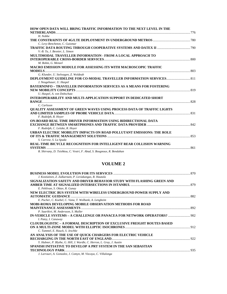| HOW OPEN DATA WILL BRING TRAFFIC INFORMATION TO THE NEXT LEVEL IN THE                                                                                                                                                                                                                                                                           |  |
|-------------------------------------------------------------------------------------------------------------------------------------------------------------------------------------------------------------------------------------------------------------------------------------------------------------------------------------------------|--|
| H. Nobbe                                                                                                                                                                                                                                                                                                                                        |  |
|                                                                                                                                                                                                                                                                                                                                                 |  |
| C. Levy-Bencheton, C. Guiomar                                                                                                                                                                                                                                                                                                                   |  |
|                                                                                                                                                                                                                                                                                                                                                 |  |
| V.-B. Ta, J. Besnier, L. Simon                                                                                                                                                                                                                                                                                                                  |  |
| <b>MULTIMODAL TRAVELLER INFORMATION - FROM A LOCAL APPROACH TO</b>                                                                                                                                                                                                                                                                              |  |
|                                                                                                                                                                                                                                                                                                                                                 |  |
| M. Bohm. G. Menzel                                                                                                                                                                                                                                                                                                                              |  |
| <b>MACRO EMISSION MODULE FOR ASSESSING ITS WITH MACROSCOPIC TRAFFIC</b>                                                                                                                                                                                                                                                                         |  |
|                                                                                                                                                                                                                                                                                                                                                 |  |
| G. Klunder, U. Stelwagen, Z. Woldeab                                                                                                                                                                                                                                                                                                            |  |
|                                                                                                                                                                                                                                                                                                                                                 |  |
| J. Neugebauer, U. Haspel                                                                                                                                                                                                                                                                                                                        |  |
| <b>BAYERNINFO - TRAVELLER INFORMATION SERVICES AS A MEANS FOR FOSTERING</b>                                                                                                                                                                                                                                                                     |  |
|                                                                                                                                                                                                                                                                                                                                                 |  |
| U. Haspel, A. von Dobschutz                                                                                                                                                                                                                                                                                                                     |  |
| INTEROPERABILITY AND MULTI-APPLICATION SUPPORT IN DEDICATED SHORT                                                                                                                                                                                                                                                                               |  |
|                                                                                                                                                                                                                                                                                                                                                 |  |
| C. Carlsson                                                                                                                                                                                                                                                                                                                                     |  |
| <b>QUALITY ASSESSMENT OF GREEN WAVES USING PROCESS DATA OF TRAFFIC LIGHTS</b>                                                                                                                                                                                                                                                                   |  |
|                                                                                                                                                                                                                                                                                                                                                 |  |
| F. Rudolph, R. Hoyer                                                                                                                                                                                                                                                                                                                            |  |
| ON-BOARD REAL TIME DRIVER INFORMATION USING BIDIRECTIONAL DATA                                                                                                                                                                                                                                                                                  |  |
|                                                                                                                                                                                                                                                                                                                                                 |  |
| F. Rudolph, C. Leitzke, R. Hoyer                                                                                                                                                                                                                                                                                                                |  |
| URBAN ELECTRIC MOBILITY IMPACTS ON ROAD POLLUTANT EMISSIONS: THE ROLE                                                                                                                                                                                                                                                                           |  |
|                                                                                                                                                                                                                                                                                                                                                 |  |
| S. Carrese, S. La Spada                                                                                                                                                                                                                                                                                                                         |  |
| <b>REAL-TIME BICYCLE RECOGNITION FOR INTELLIGENT REAR COLLISION WARNING</b>                                                                                                                                                                                                                                                                     |  |
|                                                                                                                                                                                                                                                                                                                                                 |  |
| $\mathbf{D}$ , $\mathbf{G}$ , $\mathbf{L}$ , $\ldots$ $\mathbf{D}$ , $\mathbf{T}$ , $\mathbf{L}$ , $\mathbf{L}$ , $\mathbf{L}$ , $\mathbf{L}$ , $\mathbf{L}$ , $\mathbf{L}$ , $\mathbf{L}$ , $\mathbf{L}$ , $\mathbf{L}$ , $\mathbf{L}$ , $\mathbf{L}$ , $\mathbf{L}$ , $\mathbf{L}$ , $\mathbf{L}$ , $\mathbf{L}$ , $\mathbf{L}$ , $\mathbf{L$ |  |

*R. Shirvany, D. Tsishkou, C. Vestri, F. Abad, S. Bougnoux, R. Bendahan* 

| J. Kostiainen, Z. Zulkarnain, P. Leviakangas, R. Hautala                      |  |
|-------------------------------------------------------------------------------|--|
| SIGNALIZATION SAFETY AND DRIVER BEHAVIOR STUDY WITH FLASHING GREEN AND        |  |
|                                                                               |  |
| E. Pehlivan, S. Oktav, R. Gunav                                               |  |
| NEW ELECTRIC BUS SYSTEM WITH WIRELESS UNDERGROUND POWER SUPPLY AND            |  |
|                                                                               |  |
| E. Pucher, C. Koebel, C. Vana, T. Wolbank, A. Lengheim                        |  |
| MOBI-ROMA DEVELOPING MOBILE OBSERVATION METHODS FOR ROAD                      |  |
|                                                                               |  |
| P. Saarikivi, M. Andersson, S. Muller                                         |  |
| IN-VEHICLE SYSTEMS - A CHALLENGE OR PANACEA FOR NETWORK OPERATORS?  902       |  |
| I. Patey, I. Canaway                                                          |  |
| <b>CLOUDLOGISTIC - A FORMAL DESCRIPTION OF EXCLUSIVE FREIGHT ROUTES BASED</b> |  |
|                                                                               |  |
| C. Tummel, E. Hauck, S. Jeschke                                               |  |
| AN ANALYSIS OF THE USE OF QUICK CHARGERS FOR ELECTRIC VEHICLE                 |  |
|                                                                               |  |
| Y. Hubner, P. Blythe, G. Hill, J. Wardle, C. Herron, L. Gray, J. Austin       |  |
| SPANISH INITIATIVE TO DEVELOP A PRT SYSTEM IN THE SAN SEBASTIAN               |  |
|                                                                               |  |
| J. Larrauri, A. Gonzalez, J. Comyn, M. Vizcaya, C. Villalonga                 |  |
|                                                                               |  |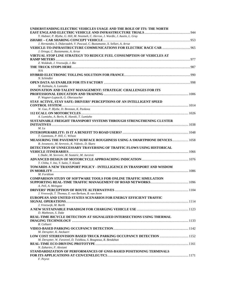| UNDERSTANDING ELECTRIC VEHICLES USAGE AND THE ROLE OF ITS: THE NORTH                |  |
|-------------------------------------------------------------------------------------|--|
| Y. Hubner, P. Blythe, G. Hill, M. Neaimeh, C. Herron, J. Wardle, J. Austin, L. Gray |  |
|                                                                                     |  |
| J. Hernandez, S. Didarzadeh, V. Pascual, C. Bustamante, X. Sellart, A. Arrue        |  |
|                                                                                     |  |
| J. Ortega, C. Bustamante, A. Arrue                                                  |  |
| VIRTUAL STOP LINE STRATEGY TO REDUCE FUEL CONSUMPTION OF VEHICLES AT                |  |
|                                                                                     |  |
|                                                                                     |  |
| Z. Woldeab, J. Vreeswijk, J. Bie                                                    |  |
|                                                                                     |  |
| N/A                                                                                 |  |
|                                                                                     |  |
| N. Schindler                                                                        |  |
|                                                                                     |  |
| M. Kulmala, A. Lumiaho                                                              |  |
| INNOVATION AND TALENT MANAGEMENT: STRATEGIC CHALLENGES FOR ITS                      |  |
|                                                                                     |  |
| P. Wagner-Luptacik, G. Oberzaucher                                                  |  |
| STAY ACTIVE, STAY SAFE: DRIVERS' PERCEPTIONS OF AN INTELLIGENT SPEED                |  |
|                                                                                     |  |
| W. Guo, P. Blythe, D. Brennan, K. Pavkova                                           |  |
|                                                                                     |  |
| A. Lumiaho, A. Borin, K. Hanski, T. Lumiaho                                         |  |
| SUSTAINABLE FREIGHT TRANSPORT SYSTEMS THROUGH STRENGTHENING CLUSTER                 |  |
|                                                                                     |  |
| $M.$ Lu                                                                             |  |
|                                                                                     |  |
| T. Gammons, P. Hill, C. Wilson                                                      |  |
| MEASURING THE PAVEMENT SURFACE ROUGHNESS USING A SMARTPHONE DEVICES 1058            |  |
| B. Jovanovic, M. Sevrovic, K. Vidovic, D. Skaro                                     |  |
| DETECTION OF UNNECESSARY TRAVERSING OF TRAFFIC FLOWS USING HISTORICAL               |  |
|                                                                                     |  |
| I. Dadic, M. Sevrovic, M. Sostaric, M. Jurcevic                                     |  |
|                                                                                     |  |
| T. Chiba, Y. Ino, T. Saito, T. Kizaki                                               |  |
| TOWARDS A NEW TRANSPORT POLICY - INTELLIGENCE IN TRANSPORT AND WISDOM               |  |
|                                                                                     |  |
| M. Forsblom                                                                         |  |
| <b>COMPARISON STUDY OF SOFTWARE TOOLS FOR ONLINE TRAFFIC SIMULATION</b>             |  |
|                                                                                     |  |
| A. Pell, A. Meingast                                                                |  |
|                                                                                     |  |
| J. Vreeswijk, T. Thomas, E. van Berkum, B. van Arem                                 |  |
| EUROPEAN AND UNITED STATES SCENARIOS FOR ENERGY EFFICIENT TRAFFIC                   |  |
|                                                                                     |  |
| J. Vreeswijk, M. Barth                                                              |  |
|                                                                                     |  |
| D. Matheson, S. Duke                                                                |  |
| REAL-TIME BICYCLE DETECTION AT SIGNALIZED INTERSECTIONS USING THERMAL               |  |
|                                                                                     |  |
| R. Collaert                                                                         |  |
|                                                                                     |  |
| M. Deruytter, K. Anckaert                                                           |  |
|                                                                                     |  |
| M. Deruytter, W. Favoreel, D. Tsishkou, S. Bougnoux, R. Bendahan                    |  |
|                                                                                     |  |
| N. Zahariev, F. Alesiani                                                            |  |
| STANDARDIZATION OF PERFORMANCES OF GNSS-BASED POSITIONING TERMINALS                 |  |
|                                                                                     |  |
| F. Peyret                                                                           |  |
|                                                                                     |  |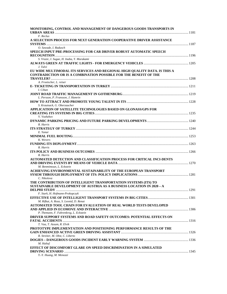| MONITORING, CONTROL AND MANAGEMENT OF DANGEROUS GOODS TRANSPORTS IN                                                                                   |  |
|-------------------------------------------------------------------------------------------------------------------------------------------------------|--|
| F. Reclus                                                                                                                                             |  |
| A SELECTION PROCESS FOR NEXT GENERATION COOPERATIVE DRIVER ASSISTANCE                                                                                 |  |
| O. Sawade, I. Radusch                                                                                                                                 |  |
| SPEECH INPUT PRE-PROCESSING FOR CAR DRIVER ROBUST AUTOMATIC SPEECH                                                                                    |  |
| S. Vrazic, I. Sugae, H. Inaba, Y. Murakami                                                                                                            |  |
| J. Talvi                                                                                                                                              |  |
| EU WIDE MULTIMODAL ITS SERVICES AND REGIONAL HIGH QUALITY DATA. IS THIS A<br><b>CONTRADICTION OR IS A COMBINATION POSSIBLE FOR THE BENEFIT OF THE</b> |  |
| A. Froetscher, L. reiser                                                                                                                              |  |
| I. Cihan                                                                                                                                              |  |
| L. Persson, P. Fransson, J. Hamrin                                                                                                                    |  |
|                                                                                                                                                       |  |
| S. Krautsack, G. Oberzaucher                                                                                                                          |  |
| APPLICATION OF SATELLITE TECHNOLOGIES BASED ON GLONASS/GPS FOR                                                                                        |  |
| V. Vozhzhov                                                                                                                                           |  |
| R. Harris                                                                                                                                             |  |
| E. Yanar                                                                                                                                              |  |
| K. Wevers                                                                                                                                             |  |
|                                                                                                                                                       |  |
| R. Harris                                                                                                                                             |  |
| R. Harris                                                                                                                                             |  |
| AUTOMATED DETECTION AND CLASSIFICATION PROCESS FOR CRITICAL INCI-DENTS                                                                                |  |
| M. Benmimoun, L. Eckstein                                                                                                                             |  |
| ACHIEVING ENVIRONMENTAL SUSTAINABILITY OF THE EUROPEAN TRANSPORT                                                                                      |  |
|                                                                                                                                                       |  |
| C. Nikolova<br>THE CONTRIBUTION OF INTELLIGENT TRANSPORTATION SYSTEMS (ITS) TO                                                                        |  |
| SUSTAINABLE DEVELOPMENT OF AUSTRIA AS A BUSINESS LOCATION IN 2020 – A                                                                                 |  |
|                                                                                                                                                       |  |
| F. Stark, H. Hofmann-Prokopczyk                                                                                                                       |  |
|                                                                                                                                                       |  |
| M. Rifkat, A. Roza, S. Leonid, D. Renat<br>AUTOMATED TOOL CHAIN FOR EVALUATION OF REAL WORLD TESTS DEVELOPED                                          |  |
| P. Themann, F. Fahrenkrog, L. Eckstein                                                                                                                |  |
| DRIVER SUPPORT SYSTEMS AND ROAD SAFETY OUTCOMES: POTENTIAL EFFECTS ON                                                                                 |  |
| T. Vaa, T. Assum, R. Elvik                                                                                                                            |  |
| PROTOTYPE IMPLEMENTATION AND POSITIONING PERFORMANCE RESULTS OF THE                                                                                   |  |
| R. Streiter, M. Obst, C. Liberto                                                                                                                      |  |
|                                                                                                                                                       |  |
| M. Haltuf                                                                                                                                             |  |
| EFFECT OF DISCOMFORT GLARE ON SPEED DISCRIMINATION IN A SIMULATED                                                                                     |  |
| Y.-Y. Huang, M. Menozzi                                                                                                                               |  |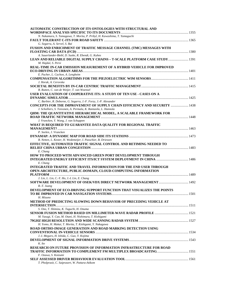| <b>AUTOMATIC CONSTRUCTION OF ITS ONTOLOGIES WITH STRUCTURAL AND</b>               |  |
|-----------------------------------------------------------------------------------|--|
|                                                                                   |  |
| N. Nakamura, S. Tamagawa, T. Morita, P. Pribyl, H. Kawashima, T. Yamaguchi        |  |
|                                                                                   |  |
| G. Segarra, A. Servel, S. Bai                                                     |  |
| FUSION AND ENRICHMENT OF TRAFFIC MESSAGE CHANNEL (TMC) MESSAGES WITH              |  |
|                                                                                   |  |
| A. Sauerlander-Biebl, D. Suske, R. Ebendt, G. Kuhns                               |  |
| LEAN AND RELIABLE DIGITAL SUPPLY CHAINS - T-SCALE PLATFORM CASE STUDY 1391        |  |
| M. Hajdul, S. Persi                                                               |  |
| REAL-TIME IN-CAR EMISSION MEASUREMENT OF A HYBRID VEHICLE FOR IMPROVED            |  |
|                                                                                   |  |
| E. Pucher, L. Cachon, A. Lengheim                                                 |  |
|                                                                                   |  |
| J. Horak, A. Cerovska                                                             |  |
|                                                                                   |  |
| B. Rutten, C. van de Weijer, T. van Woensel                                       |  |
| USER EVALUATION OF COOPERATIVE ITS: A STUDY OF TEN USE - CASES ON A               |  |
|                                                                                   |  |
| C. Barbier, R. Deborne, G. Segarra, J.-F. Forzy, J.-P. Alexander                  |  |
| <b>CONCEPTS FOR THE IMPROVEMENT OF SUPPLY CHAIN EFFICIENCY AND SECURITY  1438</b> |  |
| J. Scholliers, S. Toivonen, A. Permala, K. Rantasila, L. Hannola                  |  |
| QHM: THE QUANTITATIVE HIERARCHICAL MODEL, A SCALABLE FRAMEWORK FOR                |  |
|                                                                                   |  |
| J. Vrancken, Y. Wang, J. van Schuppen                                             |  |
| WHAT IS REQUIRED TO GUARANTEE DATA QUALITY FOR REGIONAL TRAFFIC                   |  |
|                                                                                   |  |
| P. Seelen, J. Vrancken                                                            |  |
|                                                                                   |  |
| B. Netten, L. Kester, H. Wedemeijer, I. Passchier, B. Driessen                    |  |
| EFFECTIVE, AUTOMATED TRAFFIC SIGNAL CONTROL AND RETIMING NEEDED TO                |  |
|                                                                                   |  |
|                                                                                   |  |
| E. Chang<br><b>HOW TO PROCEED WITH ADVANCED GREEN PORT DEVELOPMENT THROUGH</b>    |  |
|                                                                                   |  |
|                                                                                   |  |
| E. Chang                                                                          |  |
| <b>INTEGRATED TRAFFIC AND TRAVEL INFORMATION FOR THE END USER THROUGH</b>         |  |
| OPEN-ARCHITECTURE, PUBLIC-DOMAIN, CLOUD-COMPUTING INFORMATION                     |  |
|                                                                                   |  |
| J. Lin, L. Lin, C.-Y. Ho, J.-L Lin, E. Chang                                      |  |
|                                                                                   |  |
| R.-T. Juang                                                                       |  |
| DEVELOPMENT OF ECO-DRIVING SUPPORT FUNCTION THAT VISUALIZES THE POINTS            |  |
| TO BE IMPROVED IN CAR NAVIGATION SYSTEMS                                          |  |
| H. Mizuno                                                                         |  |
| METHOD OF PREDICTING SLOWING DOWN BEHAVIOR OF PRECEDING VEHICLE AT                |  |
|                                                                                   |  |
| S. Ono, T. Shimizu, K. Taguchi, H. Onuma                                          |  |
|                                                                                   |  |
| M. Yasugi, Y. Cao, M. Otani, H. Nishimura, T. Kishigami                           |  |
|                                                                                   |  |
| H. Yomo, H. Mukai, T. Morita, T. Kishigami, Y. Nakagawa                           |  |
| ROAD ORTHO-IMAGE GENERATION AND ROAD MARKING DETECTION USING                      |  |
|                                                                                   |  |
| J.-I. Meguro, H. Ishida, C. Guo, Y. Kojima                                        |  |
|                                                                                   |  |
| K. Ito                                                                            |  |
| <b>RESEARCH ON FUTURE PROVISION OF INFORMATION INFRASTRUCTURE FOR ROAD</b>        |  |
|                                                                                   |  |
| F. Ozawa, S. Koizumi                                                              |  |
|                                                                                   |  |
| T. Pholprasit, C. Saiprasert, W. Pattara-Atikom                                   |  |
|                                                                                   |  |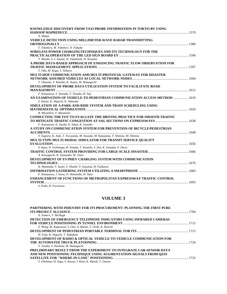| KNOWLEDGE DISCOVERY FROM TAXI PROBE INFORMATION IN TOKYO BY USING                                             |  |
|---------------------------------------------------------------------------------------------------------------|--|
| N. Mukai                                                                                                      |  |
| <b>VEHICLE DETECTION USING MILLIMETER-WAVE RADAR TRANSMITTING</b>                                             |  |
| T. Tokuhiro, M. Yokobori, N. Fukuda                                                                           |  |
| WIRELESS POWER CHARGINGTECHNIQUES AND ITS TECHNOLOGY FOR THE                                                  |  |
| T. Maeda, S.-I. Azuma, H. Takahashi, H. Koyama                                                                |  |
| A PROBE DATA-BASED APPROACH OF ENHANCING TRAFFIC FLOW OBSERVATION FOR                                         |  |
|                                                                                                               |  |
| T. Oda, M. Koga, S. Niikura                                                                                   |  |
| MULTI-HOP COMMUNICATION AND MULTI-PROTOCOL GATEWAY FOR DISASTER                                               |  |
|                                                                                                               |  |
| T. Ohyama, Y. Kaneko, K. Asano, M. Hamaguchi                                                                  |  |
| DEVELOPMENT OF PROBE DATA UTILIZATION SYSTEM TO FACILITATE ROAD                                               |  |
|                                                                                                               |  |
| F. Kanazawa, Y. Sawada, Y. Tanaka, H. Saji                                                                    |  |
| AN EXAMINATION OF VEHICLE-TO-PEDESTRIAN COMMUNICATION ACCESS METHOD  1619<br>Y. Kanai, K. Higuchi, K. Nakaoka |  |
| SIMULATION OF A PARK-AND-RIDE SYSTEM AND TRAIN SCHEDULING USING                                               |  |
|                                                                                                               |  |
| R. Miyashiro, Y. Miyamoto                                                                                     |  |
| <b>CONDUCTING THE FOT TO EVALUATE THE DRIVING PRACTICE FOR SMOOTH TRAFFIC</b>                                 |  |
| F. Kanazawa, K. Suzuki, K. Sakai, K. Iwatake                                                                  |  |
| A STUDY ON COMMUNICATION SYSTEM FOR PREVENTION OF BICYCLE/PEDESTRIAN                                          |  |
|                                                                                                               |  |
| Y. Sugiura, K. Aoki, T. Furuyama, M. Sawada, M. Katayama, T. Shimizu, M. Shimizu                              |  |
| MULTI-TYPE MULTI-MODAL SIMULATOR FOR TRANSIT SERVICE QUALITY                                                  |  |
|                                                                                                               |  |
| S. Itaya, N. Yoshinaga, R. Tanaka, T. Konishi, S. Doi, K. Yamada, P. Davis                                    |  |
| A. Kawaguchi, K. Yamazaki, M. Jinno                                                                           |  |
| DEVELOPMENT OF EV/PHEV CHARGING SYSTEM WITH COMMUNICATION                                                     |  |
|                                                                                                               |  |
| K. Hatanaka, T. Izumi, S. Ohashi, Y. Isoyama, H. Fujikawa                                                     |  |
|                                                                                                               |  |
| F. Kanazawa, J. Sawa, D. Watanabe, H. Sano                                                                    |  |
| ENHANCEMENT OF FUNCTIONS OF METROPOLITAN EXPRESSWAY TRAFFIC CONTROL                                           |  |
| S. Endo. H. Furusawa                                                                                          |  |

| A. Somers, T. McHugh<br>DETECTION OF EMERGENCY TELEPHONE INDICATORS USING INFRARED CAMERAS |
|--------------------------------------------------------------------------------------------|
|                                                                                            |
|                                                                                            |
|                                                                                            |
|                                                                                            |
| Z. Wang, M. Kagesawa, S. Ono, A. Banno, T. Oishi, K. Ikeuchi                               |
|                                                                                            |
| H. Fujii, K. Higuchi, T. Nakakuki                                                          |
| DEVELOPMENT OF RADIO & OPTICAL VEHICLE-TO-VEHICLE COMMUNICATION FOR                        |
|                                                                                            |
| T. Tezuka, S. Hoshina, M. Hamaguchi                                                        |
| <b>PRELIMINARY RESULT FROM THE EXPERIMENT TO INTEGRATE CAR-SENSOR DATA</b>                 |
| AND NEW POSITIONING TECHNIQUE USING AUGMENTATION SIGNALS FROM OZSS                         |
|                                                                                            |
| Y. Ohshima, H. Soga, S. Kawai, I. Kato, K. Mutoh, T. Osawa                                 |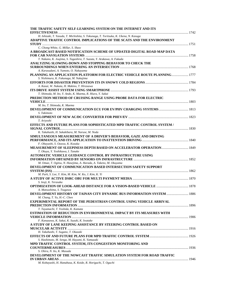| THE TRAFFIC SAFETY SELF-LEARNING SYSTEM ON THE INTERNET AND ITS                                                                                                 |  |
|-----------------------------------------------------------------------------------------------------------------------------------------------------------------|--|
| H. Ishizaki, T. Yasuda, T. Michishita, S. Tokunaga, T. Toritsuka, K. Ukena, N. Kasuga<br>ADAPTIVE TRAFFIC CONTROL IMPLICATIONS OF THE SCATS AND THE ENVIRONMENT |  |
| C. Chong-White, G. Millar, S. Shaw                                                                                                                              |  |
| A BROADCAST-BASED NOTIFICATION SCHEME OF UPDATED DIGITAL ROAD MAP DATA                                                                                          |  |
| T. Nakano, K. Joujima, S. Tagashira, T. Suzuta, Y. Arakawa, A. Fukuda                                                                                           |  |
| ANALYZING SLOWING-DOWN AND STOPPING BEHAVIOR TO CHECK THE<br>A. Karasudani, A. Yumoto, O. Nakayama                                                              |  |
| PLANNING AN APPLICATION PLATFORM FOR ELECTRIC VEHICLE ROUTE PLANNING 1777<br>S. Nishimura, K. Fukunaga, M. Nakajima                                             |  |
| A. Kasai, W. Nakata, H. Makino, T. Hirasawa                                                                                                                     |  |
| T. Shimoda, M. Ito, Y. Ando, K. Maema, R. Hiura, Y. Sakai                                                                                                       |  |
| PREDICTION METHOD OF CRUISING RANGE USING PROBE DATA FOR ELECTRIC                                                                                               |  |
| M. Ito, T. Shimoda, K. Maema                                                                                                                                    |  |
| S. Takimoto                                                                                                                                                     |  |
| T. Ariyoshi                                                                                                                                                     |  |
| EFFECTS AND FUTURE PLANS FOR SOPHISTICATED MPD TRAFFIC CONTROL SYSTEM /<br>K. Takahashi, H. Sakakibara, M. Naruse, M. Noda                                      |  |
| SIMULTANEOUS MEASUREMENT OF A DRIVER'S BEHAVIOR, GAZE AND DRIVING                                                                                               |  |
| F. Obayashi, S. Ozawa, K. Kozuka                                                                                                                                |  |
| T. Okuya, Y. Yoshikawa, I. Tanake                                                                                                                               |  |
| AUTOMATIC VEHICLE GUIDANCE CONTROL BY INFRASTRUCTURE USING                                                                                                      |  |
| M. Omae, T. Ogitsu, N. Hasejima, A. Harada, A. Takeno, M. Okuyama<br>DEVELOPMENT OF COMMUNICATION BASED INTERSECTION SAFETY SUPPORT                             |  |
| M. Park, S. Lee, Y. Kim, M. Kim, W. Ko, J. Kim, K. Yi                                                                                                           |  |
| S. Ieuji, K. Terasaka                                                                                                                                           |  |
| <b>OPTIMIZATION OF LOOK-AHEAD DISTANCE FOR A VISION-BASED VEHICLE  1878</b><br>A. Matsushima, S. Tsugawa                                                        |  |
| <b>DEVELOPMENT HISTORY OF TAINAN CITY DYNAMIC BUS INFORMATION SYSTEM  1886</b><br>M. Chang, T. Yu, H.-C. Chen                                                   |  |
| <b>EXPERIMENTAL REPORT OF THE PEDESTRIAN CONTROL USING VEHICLE ARRIVAL</b><br>T. Tayamachi, T. Yoshida, K. Kamata                                               |  |
| ESTIMATION OF REDUCTION IN ENVIRONMENTAL IMPACT BY ITS MEASURES WITH                                                                                            |  |
| F. Kanazawa, K. Sakai, K. Suzuki, K. Iwatake<br>A STUDY OF LANE KEEPING ASSISTANCE BY STEERING CONTROL BASED ON                                                 |  |
| H. Takahashi, T. Sugano, T. Okazaki                                                                                                                             |  |
| S. Hashimoto, M. Senga, M. Hayami, K. Yamazaki                                                                                                                  |  |
| MPD TRAFFIC CONTROL SYSTEM, ITS CONGESTION MONITORING AND                                                                                                       |  |
| S. Ohira, N. Ito, K. Masuda<br>DEVELOPMENT OF THE NOWCAST TRAFFIC SIMULATION SYSTEM FOR ROAD TRAFFIC                                                            |  |
| M. Kobayashi, H. Hanabusa, K. Koide, R. Horiguchi, T. Oguchi                                                                                                    |  |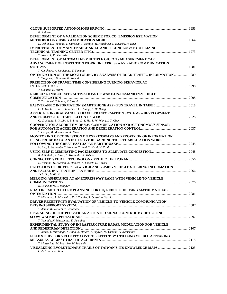| R. Niihara                                                                          |  |
|-------------------------------------------------------------------------------------|--|
| DEVELOPMENT OF A VALIDATION SCHEME FOR CO <sub>2</sub> EMISSION ESTIMATION          |  |
| D. Oshima, S. Tanaka, T. Shiraishi, T. Komiya, H. Hanabusa, S. Hayashi, H. Hirai    |  |
| <b>IMPROVEMENT OF MAINTENANCE SKILL AND TECHNOLOGY BY UTILIZING</b>                 |  |
|                                                                                     |  |
|                                                                                     |  |
| Y. Nasakak, K. Kimizuka                                                             |  |
| DEVELOPMENT OF AUTOMATED MULTIPLE OBJECTS MEASUREMENT CAR                           |  |
| ADVANCEMENT OF INSPECTION WORK ON EXPRESSWAY RADIO COMMUNICATION                    |  |
|                                                                                     |  |
| T. Omokawa, A. Uchiyama, T. Yamada                                                  |  |
| <b>OPTIMIZATION OF THE MONITORING BY ANALYSIS OF ROAD TRAFFIC INFORMATION  1989</b> |  |
| T. Tsugawa, I. Nomura, K. Yamada                                                    |  |
| PREDICTION OF TRAVEL TIME CONSIDERING TURNING BEHAVIOR AT                           |  |
|                                                                                     |  |
| Y. Ookubo, H. Miura                                                                 |  |
| REDUCING INACCURATE ACTIVATIONS OF WAKE-ON-DEMAND IN-VEHICLE                        |  |
|                                                                                     |  |
| T. Takahashi, S. Imata, N. Suzuki                                                   |  |
|                                                                                     |  |
|                                                                                     |  |
| C.-Y. Ho, L.-Y. Lin, J.-L. Liou, C.-C. Huang, S.-W. Wang                            |  |
| APPLICATION OF ADVANCED TRAVELER INFORMATION SYSTEMS – DEVELOPMENT                  |  |
|                                                                                     |  |
| C.-C. Huang, L.-Y. Lin, J.-L. Liou, C.-Y. Ho, S.-W. Wang, I.-T. Chen                |  |
| <b>COOPERATION ALGORITHM OF V2V COMMUNICATION AND AUTONOMOUS SENSOR</b>             |  |
|                                                                                     |  |
| T. Okuya, M. Matsumoto, K. Muto                                                     |  |
| MONITORING OF CONGESTION ON EXPRESSWAYS AND PROVISION OF INFORMATION                |  |
| USING PROBE DATA: AN INITIATIVE REGARDING THE REHABILITATION WORK                   |  |
|                                                                                     |  |
| K. Abe, S. Watanabe, Y. Kamata, T. Imai, Y. Hirai, H. Tsuda                         |  |
|                                                                                     |  |
| K.-I. Shibata, J. Anzai, S. Watanabe, K. Takeda                                     |  |
|                                                                                     |  |
|                                                                                     |  |
| H. Rostami, H. Ataeian, K. Hamzeh, S. Yousefi, H. Karimi                            |  |
| DETECTION OF DRIVER'S LOW VIGILANCE USING VEHICLE STEERING INFORMATION              |  |
|                                                                                     |  |
| J.-X. Liu, M.-K. Ko                                                                 |  |
| MERGING ASSISTANCE AT AN EXPRESSWAY RAMP WITH VEHICLE-TO-VEHICLE                    |  |
|                                                                                     |  |
| K. Sakakibara, S. Tsugawa                                                           |  |
| ROAD INFRASTRUCTURE PLANNING FOR CO <sub>2</sub> REDUCTION USING MATHEMATICAL       |  |
|                                                                                     |  |
| Y. Miyamoto, R. Miyashiro, K.-I. Tanaka, R. Onishi, A. Yoshioka                     |  |
| <b>DRIVER RECEPTIVITY EVALUATION OF VEHICLE-TO-VEHICLE COMMUNICATION</b>            |  |
|                                                                                     |  |
| T. Ashiki, K. Walters, T. Watanabe                                                  |  |
| UPGRADING OF THE PEDESTRIAN ACTUATED SIGNAL CONTROL BY DETECTING                    |  |
|                                                                                     |  |
|                                                                                     |  |
| T. Yamada, K. Matsumoto, Y. Ogishima                                                |  |
| <b>EXPERIMENTAL STUDY OF INFRASTRUCTURE RADAR MODULATION FOR VEHICLE</b>            |  |
|                                                                                     |  |
| T. Inaba, T. Muranaga, I. Jinbo, K. Hihara, S. Ogawa, M. Yamada, A. Kamemura        |  |
| FIELD STUDY FOR VELOCITY CONTROL EFFECT BY UTILIZING VISIBLE APPEARING              |  |
|                                                                                     |  |
| T. Matsushita, M. Imashiro, M. Iwatsuki                                             |  |
|                                                                                     |  |
| $C.-C.$ Tao, R.-J. Jian                                                             |  |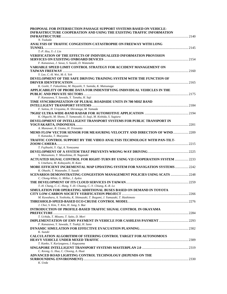| PROPOSAL FOR INTERSECTION PASSAGE SUPPORT SYSTEMS BASED ON VEHICLE-                |  |
|------------------------------------------------------------------------------------|--|
| INFRASTRUCTURE COOPERATION AND USING THE EXISTING TRAFFIC INFORMATION              |  |
|                                                                                    |  |
| N. Tsukada                                                                         |  |
| ANALYSIS OF TRAFFIC CONGESTION CATASTROPHE ON FREEWAY WITH LONG                    |  |
|                                                                                    |  |
| $T.-P. Hsu. Y.-J. Lin$                                                             |  |
| <b>VERIFICATION OF THE EFFECTS OF INDIVIDUALIZED INFORMATION PROVISION</b>         |  |
| F. Kanazawa, J. Sawa, S. Suzuki, D. Watanabe                                       |  |
| VARIABLE SPEED LIMIT CONTROL STRATEGY FOR ACCIDENT MANAGEMENT ON                   |  |
|                                                                                    |  |
| Y. Lee, C.-H. Wei, M.-S. Yeh                                                       |  |
| DEVELOPMENT OF THE SAFE DRIVING TRAINING SYSTEM WITH THE FUNCTION OF               |  |
|                                                                                    |  |
| K. Goshi, T. Fukushima, M. Hayashi, Y. Sumida, K. Matsunaga                        |  |
| APPLICABILITY OF PROBE DATA FOR INDENTIFYING INDIVIDUAL VEHICLES IN THE            |  |
|                                                                                    |  |
| F. Kanazawa, Y. Sawada, Y. Tanaka, H. Saji                                         |  |
| TIME SYNCHRONIZATION OF PLURAL ROADSIDE UNITS IN 700 MHZ BAND                      |  |
|                                                                                    |  |
| F. Saitou, H. Urayama, H. Shiranaga, M. Yamada                                     |  |
|                                                                                    |  |
| K. Ohguchi, M. Shono, T. Yamawaki, O. Isaji, M. Kishida, S. Sugiura                |  |
| DEVELOPMENT OF INTELLIGENT TRANSPORT SYSTEMS FOR PUBLIC TRANSPORT IN               |  |
|                                                                                    |  |
| A. Munawar, R. Utomo, H. Trisnanto                                                 |  |
| <b>MEMS FLOW VECTOR SENSOR FOR MEASURING VELOCITY AND DIRECTION OF WIND 2209</b>   |  |
| Y. Kanaoka, T. Maeyama                                                             |  |
| TRAFFIC CONTROL SUPPORT BY THE VIDEO ANALYSIS TECHNOLOGY WITH PAN-TILT-            |  |
|                                                                                    |  |
| T. Fujihashi, Y. Ogi, A. Yoneyama                                                  |  |
| S. Matsumoto, Y. Mizushima, H. Nagasaki                                            |  |
| ACTUATED SIGNAL CONTROL FOR RIGHT-TURN BY USING V2I COOPERATION SYSTEM  2233       |  |
| S. Umehara, M. Kobayashi, H. Kato                                                  |  |
| <b>MORE EFFICIENT INCREMENTAL MAP UPDATING SYSTEM FOR NAVIGATION SYSTEMS  2242</b> |  |
| K. Ohashi, T. Watanabe, T. Suzuki                                                  |  |
| SCENARIOS DEMONSTRATING CONGESTION MANAGEMENT POLICIES USING SCATS  2248           |  |
| C. Chong-White, G. Millar, J. Aydos                                                |  |
|                                                                                    |  |
| T.-H. Chang, C.-C. Hung, Y.-H. Chuang, C.-Y. Chiang, K.-R. Lo                      |  |
| SIMULATION FOR OPERATING ADDITIONAL BUSES BASED ON DEMAND IN TOYOTA                |  |
|                                                                                    |  |
| M. Kuwahara, A. Yoshioka, K. Shimazaki, T. Ikegami, J. Yamazaki, T. Hashimoto      |  |
|                                                                                    |  |
| J. Choi, S. Kim, T. Kim, H. Jung, S. Bae                                           |  |
| <b>INTRODUCTION OF PROFILE-BASED TRAFFIC SIGNAL CONTROL IN OKAYAMA</b>             |  |
|                                                                                    |  |
| T. Uchida, T. Mizuno, T. Saito, D. Mori                                            |  |
|                                                                                    |  |
| F. Kanazawa, Y. Sawada, T. Tsukiji, H. Sano                                        |  |
|                                                                                    |  |
| K. Suzuki                                                                          |  |
| <b>CALCULATION ALGORITHM OF STEERING CONTROL TARGET FOR AUTONOMOUS</b>             |  |
| T. Kanko, Y. Kuriyagawa, I. Kageyama                                               |  |
|                                                                                    |  |
| C. Keong, G. Hua, C. Choong, A. Huat                                               |  |
| ADVANCED ROAD LIGHTING CONTROL TECHNOLOGY (DEPENDS ON THE                          |  |
|                                                                                    |  |
| K. Ueda                                                                            |  |
|                                                                                    |  |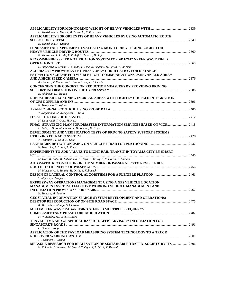| H. Wakishima, R. Matsui, M. Takeuchi, F. Kanazawa                                   |  |
|-------------------------------------------------------------------------------------|--|
| APPLICABILITY FOR GREEN ITS OF HEAVY VEHICLES BY USING AUTOMATIC ROUTE              |  |
|                                                                                     |  |
| H. Wakishima, H. Kitama                                                             |  |
| <b>FUNDAMENTAL EXPERIMENT EVALUATING MONITORING TECHNOLOGIES FOR</b>                |  |
|                                                                                     |  |
| F. Kanazawa, S. Suzuki, T. Tsukiji, Y. Tanaka, H. Saji                              |  |
| RECOMMENDED SPEED NOTIFICATION SYSTEM FOR 2011/2012 GREEN WAVE FIELD                |  |
|                                                                                     |  |
| H. Sugawara, S. Morita, T. Maeda, T. Tosa, K. Ikegami, M. Ikawa, Y. Igarashi        |  |
| <b>ACCURACY IMPROVEMENT BY PHASE ONLY CORRELATION FOR DISTANCE</b>                  |  |
| ESTIMATION SCHEME FOR VISIBLE LIGHT COMMUNICATIONS USING AN LED ARRAY               |  |
|                                                                                     |  |
| A. Ohmura, T. Yamazato, T. Yendo, T. Fujii, H. Okada                                |  |
| CONCERNING THE CONGESTION REDUCTION MEASURES BY PROVIDING DRIVING                   |  |
|                                                                                     |  |
| H. Ishibashi, K. Idezawa                                                            |  |
| ROBUST DEAD-RECKONING IN URBAN AREAS WITH TIGHTLY COUPLED INTEGRATION               |  |
|                                                                                     |  |
| K. Takeyama, Y. Kojima                                                              |  |
|                                                                                     |  |
| Y. Nagashima, M. Kobayashi, H. Kato                                                 |  |
|                                                                                     |  |
| M. Kobayashi, T. Oota, H. Kato                                                      |  |
| FINAL STRATEGIC PLAN FOR DISASTER INFORMATION SERVICES BASED ON VICS  2418          |  |
| H. Ieda, E. Hato, M. Ohara, K. Hatoyama, M. Koga                                    |  |
| DEVELOPMENT AND VERIFICATION TESTS OF DRIVING SAFETY SUPPORT SYSTEMS                |  |
|                                                                                     |  |
| Y. Taniguchi, T. Oota, H. Kato                                                      |  |
|                                                                                     |  |
| N. Takasuka, T. Isogai, T. Kawai                                                    |  |
| <b>EXPERIMENTS TO ADD VALUES TO LIGHT RAIL TRANSIT IN TOYAMA CITY BY SMART</b>      |  |
|                                                                                     |  |
| M. Hori, K. Aoki, M. Nakashima, Y. Ooya, H. Kawajiri, Y. Horita, K. Shibata         |  |
| AUTOMATIC RECOGNITION OF THE NUMBER OF PASSENGERS TO REVISE A BUS                   |  |
|                                                                                     |  |
| M. Matsumiya, J. Tanaka, H. Oishi, Y. Kobayashi                                     |  |
|                                                                                     |  |
| T. Miyake, S. Tsugawa                                                               |  |
| <b>EXPRESSWAY OPERATIONS MANAGEMENT USING A GPS VEHICLE LOCATION</b>                |  |
| <b>MANAGEMENT SYSTEM: EFFECTIVE WORKING VEHICLE MANAGEMENT AND</b>                  |  |
|                                                                                     |  |
| N. Tamura, M. Tomita                                                                |  |
| GEOSPATIAL INFORMATION SEARCH SYSTEM DEVELOPMENT AND OPERATIONS:                    |  |
|                                                                                     |  |
| K. Matsuda, S. Shingu, S. Okazaki                                                   |  |
| MILLIMETER WAVE RADAR USING STEPPED MULTIPLE FREQUENCY                              |  |
|                                                                                     |  |
| M. Watanabe, M. Akita, T. Inaba                                                     |  |
| TRAVEL TIME AND GRAPHICAL BASED TRAFFIC ADVISORY INFORMATION FOR                    |  |
|                                                                                     |  |
| C. Onn, L. Leong                                                                    |  |
| APPLICATION OF THE PAYLOAD MEASURING SYSTEM TECHNOLOGY TO A TRUCK                   |  |
|                                                                                     |  |
| T. Takamori, T. Ikoma                                                               |  |
| <b>MEASURE RESEARCH FOR REALIZATION OF SUSTAINABLE TRAFFIC SOCIETY BY ITS  2506</b> |  |
| K. Koide, K. Ishinazaka, M. Sasaki, T. Oguchi, T. Oishi, K. Ikeuchi                 |  |
|                                                                                     |  |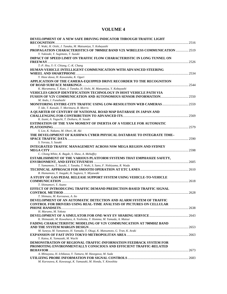| DEVELOPMENT OF A NEW SAFE DRIVING INDICATOR THROUGH TRAFFIC LIGHT                                                        |  |
|--------------------------------------------------------------------------------------------------------------------------|--|
| T. Waki, H. Oishi, J. Tanaka, M. Matsumiya, Y. Kobayashi                                                                 |  |
| PROPAGATION CHARACTERISTICS OF 700MHZ BAND V2X WIRELESS COMMUNICATION  2519<br>Y. Yukizaki, Y. Sugimoto, T. Suzuki       |  |
| IMPACT OF SPEED LIMIT ON TRAFFIC FLOW CHARACTERISTIC IN LONG TUNNEL ON                                                   |  |
| T.-P. Hsu, Y.-Y. Chiang, C.-K. Chang                                                                                     |  |
| HUMAN-VEHICLE INTELLIGENT COMMUNICATION WITH ADVANCED STEERING                                                           |  |
|                                                                                                                          |  |
| Y. Hase dawa, H. Kawanaka, K. Oguri                                                                                      |  |
| APPLICATION OF THE CAMERA-EQUIPPED DRIVE RECORDER TO THE RECOGNITION                                                     |  |
| K. Muramatsu, T. Kato, J. Tanaka, H. Oishi, M. Matsumiya, Y. Kobayashi                                                   |  |
| <b>VEHICLES GROUP IDENTIFICATION TECHNOLOGY IN HOST VEHICLE PATH VIA</b>                                                 |  |
|                                                                                                                          |  |
| M. Ando, J. Funabashi                                                                                                    |  |
| <b>MONITORING ENTIRE-CITY TRAFFIC USING LOW-RESOLUTION WEB CAMERAS  2559</b>                                             |  |
| T. Ide, T. Katsuki, T. Morimura, R. Morris                                                                               |  |
| A OUARTER OF CENTURY OF NATIONAL ROAD MAP DATABASE IN JAPAN AND                                                          |  |
|                                                                                                                          |  |
| K. Izumi, A. Yaguchi, T. Doihara, H. Sasaki<br><b>ESTIMATION OF THE YAW MOMENT OF INERTIA OF A VEHICLE FOR AUTOMATIC</b> |  |
|                                                                                                                          |  |
| S. Lee, K. Nakano, M. Ohori, M. Aki                                                                                      |  |
| THE DEVELOPMENT OF KASHIWA CYBER PHYSICAL DATABASE TO INTEGRATE TIME-                                                    |  |
|                                                                                                                          |  |
| S. Yorozu, S. Sasaki                                                                                                     |  |
| <b>INTEGRATED TRAFFIC MANAGEMENT ACROSS NSW MEGA REGION AND SYDNEY</b>                                                   |  |
|                                                                                                                          |  |
| C. Chong-White, K. Bagde, S. Shaw, A. Mehaffey                                                                           |  |
| ESTABLISHMENT OF THE VARIOUS PLATFORM SYSTEMS THAT EMPHASIZE SAFETY,                                                     |  |
| T. Yamamoto, T. Suzuki, J. Tanaka, T. Waki, S. Sano, F. Nishiyama, R. Wada                                               |  |
|                                                                                                                          |  |
| R. Hamamoto, Y. Inagaki, H. Sugiura, Y. Miyawaki                                                                         |  |
| A STUDY OF GAS PEDAL RELEASE SUPPORT SYSTEM USING VEHICLE-TO-VEHICLE                                                     |  |
|                                                                                                                          |  |
| T. Shimamori, Y. Asano                                                                                                   |  |
| EFFECT OF INTRODUCING TRAFFIC DEMAND PREDICTION-BASED TRAFFIC SIGNAL                                                     |  |
| T. Shimazu, M. Kurosawa, A. Ito                                                                                          |  |
| DEVELOPMENT OF AN AUTOMATIC DETECTION AND ALARM SYSTEM OF TRAFFIC                                                        |  |
| <b>CONTROL FOR DRIVERS USING REAL-TIME ANALYSIS OF PICTURES ON CELLULAR</b>                                              |  |
|                                                                                                                          |  |
| H. Marumo, M. Yokota                                                                                                     |  |
|                                                                                                                          |  |
| K. Shimazaki, M. Kuwahara, A. Yoshioka, Y. Homma, M. Yamada, A. Matsui                                                   |  |
| <b>FADING CHARACTERISTIC MODELING OF V2V COMMUNICATION AT 700MHZ BAND</b>                                                |  |
|                                                                                                                          |  |
| M. Suneya, M. Yamamoto, H. Yamada, T. Okugi, K. Matsumoto, G. Tran, K. Araki                                             |  |
| Y. Katou, K. Yamazaki, M. Wachi                                                                                          |  |
| <b>DEMONSTRATION OF REGIONAL-TRAFFIC-INFORMATION FEEDBACK SYSTEM FOR</b>                                                 |  |
| PROMOTING ENVIRONMENTALLY CONSCIOUS AND EFFICIENT TRAFFIC-RELATED                                                        |  |
|                                                                                                                          |  |
| A. Mitsuyasu, H. Ichikawa, Y. Tamura, M. Hasegawa, M. Suda                                                               |  |
|                                                                                                                          |  |
| M. Kurosawa, K. Kawasugi, K. Yamazaki, M. Honda, Y. Kinoshita                                                            |  |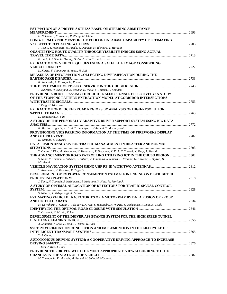| ESTIMATION OF A DRIVER'S STRESS BASED ON STEERING ADMITTANCE<br>2693                                                                                |  |
|-----------------------------------------------------------------------------------------------------------------------------------------------------|--|
| H. Nakamura, K. Nakano, R. Zheng, M. Ohori                                                                                                          |  |
| LONG-TERM EXPERIMENT OF THE ECOLOG DATABASE CAPABILITY OF ESTIMATING                                                                                |  |
| T. Tomii, S. Hagimoto, N. Fueda, T. Deguchi, M. Idenawa, T. Hayashi                                                                                 |  |
| <b>OUANTIFYING ROUTE QUALITY THROUGH VIABILITY INDICES USING ACTUAL</b>                                                                             |  |
| B. Park, J.-I. Son, H. Hwang, O. Ali, J. Jeon, T. Park, S. Son                                                                                      |  |
| EXTRACTION OF VEHICLE QUEUES USING A SATELLITE IMAGE CONSIDERING                                                                                    |  |
| K. Kurita, F. Shinmura, A. Yokoi, H. Saji                                                                                                           |  |
| <b>MEASURES OF INFORMATION COLLECTING DIVERSIFICATION DURING THE</b>                                                                                |  |
|                                                                                                                                                     |  |
| K. Yamazaki, A. Kawaguchi, R. Era                                                                                                                   |  |
|                                                                                                                                                     |  |
| T. Kawano, H. Nakajima, K. Uesaka, H. Inoue, Y. Tanaka, F. Komatsu                                                                                  |  |
| <b>PROVIDING A ROUTE PASSING THROUGH TRAFFIC SIGNALS EFFECTIVELY: A STUDY</b><br>OF THE STOPPING PATTERN EXTRACTION MODEL AT CORRIDOR INTERSECTIONS |  |
|                                                                                                                                                     |  |
| J. Zeng, H. Ishikawa                                                                                                                                |  |
| <b>EXTRACTION OF BLOCKED ROAD REGIONS BY ANALYSIS OF HIGH-RESOLUTION</b>                                                                            |  |
|                                                                                                                                                     |  |
| K. Yamaguchi, H. Saji                                                                                                                               |  |
| A STUDY OF THE PERSONALLY ADAPTIVE DRIVER SUPPORT SYSTEM USING BIG DATA                                                                             |  |
| K. Morita, Y. Iguchi, S. Hisai, T. Imamiya, H. Takeuchi, T. Moribayashi                                                                             |  |
| PROVISIONING VICS PARKING INFORMATION AT THE TIME OF FIREWORKS DISPLAY                                                                              |  |
|                                                                                                                                                     |  |
| K. Yamada, K. Hayashi                                                                                                                               |  |
| DATA FUSION ANALYSIS FOR TRAFFIC MANAGEMENT IN DISASTER AND NORMAL                                                                                  |  |
|                                                                                                                                                     |  |
| T. Ohata, J. Kim, M. Kuwahara, H. Hanabusa, T. Urayama, K. Etoh, T. Yamori, K. Tanji, T. Masuda                                                     |  |
| THE ADVANCEMENT OF ROAD PATROLLING UTILIZING ICT IN THE CHUBU REGION  2802                                                                          |  |
| S. Noda, Y. Takami, Y. Itokawa, S. Itakura, T. Futamura, S. Suhara, H. Yoshida, H. Kawana, J. Ogawa, H.<br>Mizukami                                 |  |
|                                                                                                                                                     |  |
| T. Kawamura, T. Kashiwa, K. Taguchi                                                                                                                 |  |
| DEVELOPMENT OF EV POWER CONSUMPTION ESTIMATION ENGINE ON DISTRIBUTED                                                                                |  |
| J. Yano, H. Yamada, S. Nishimura, M. Nakajima, Y. Hata, M. Moriguchi                                                                                |  |
| A STUDY OF OPTIMAL ALLOCATION OF DETECTORS FOR TRAFIIC SIGNAL CONTROL                                                                               |  |
|                                                                                                                                                     |  |
| S. Niikura, Y. Takayanagi, K. Iwaoka                                                                                                                |  |
| <b>ESTIMATING VEHICLE TRAJECTORIES ON A MOTORWAY BY DATA FUSION OF PROBE</b>                                                                        |  |
|                                                                                                                                                     |  |
| M. Kuwahara, T. Ohata, T. Takigawa, K. Abe, S. Watanabe, H. Warita, K. Nakamura, T. Imai, H. Tsuda                                                  |  |
|                                                                                                                                                     |  |
| T. Osogami, H. Mizuta, T. Ide                                                                                                                       |  |
| DEVELOPMENT OF THE DRIVER ASSISTANCE SYSTEM FOR THE HIGH SPEED TUNNEL                                                                               |  |
| A. Shintaku, Y. Sato, H. Uno, F. Okubo, K. Aoki                                                                                                     |  |
| SYSTEM VERIFICATION CONCPETION AND IMPLEMENTION IN THE LIFECYCLE OF                                                                                 |  |
|                                                                                                                                                     |  |
| Y.-J. Chang                                                                                                                                         |  |
| AUTONOMOUS DRIVING SYSTEM: A COOPERATIVE DRIVING APPROACH TO INCREASE                                                                               |  |
|                                                                                                                                                     |  |
| J. Kim, J. Kim, J. Choi                                                                                                                             |  |
| PROVIDINGTHE DRIVER WITH THE MOST APPROPRIATE VIEWACCORDING TO THE                                                                                  |  |
|                                                                                                                                                     |  |
| M. Yamaguchi, K. Masuda, M. Funaki, H. Saho, M. Miyamoto                                                                                            |  |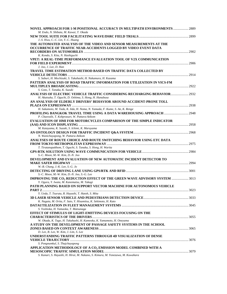| NOVEL APPROACH FOR 1-M POSITIONAL ACCURACY IN MULTIPATH ENVIRONMENTS  2889                                 |  |
|------------------------------------------------------------------------------------------------------------|--|
| M. Endo, N. Shibata, M. Kawai, T. Okada                                                                    |  |
| J.-S. Hwu, C.-C. Lin, Y.-C. Huang                                                                          |  |
| THE AUTOMATED ANALYSIS OF THE VIDEO AND SENSOR MEASUREMENTS AT THE                                         |  |
| OCCURRENCE OF TRAFFIC NEAR-ACCIDENTS LOGGED BY VIDEO EVENT DATA                                            |  |
|                                                                                                            |  |
| K. Kondo, S. Kita, N. Hashiguchi                                                                           |  |
| VPET: A REAL-TIME PERFORMANCE EVALUATION TOOL OF V2X COMMUNICATION                                         |  |
|                                                                                                            |  |
| J. Joo, J. Lee, D. Han                                                                                     |  |
| TRAVEL TIME ESTIMATION METHOD BASED ON TRAFFIC DATA COLLECTED BY                                           |  |
|                                                                                                            |  |
| S. Saburi, H. Mochizuki, S. Takahashi, H. Nakamura, H. Kazama                                              |  |
| PATTERN ANALYSIS OF ROAD TRAFFIC INFORMATION FOR UTILIZATION IN VICS-FM                                    |  |
|                                                                                                            |  |
| S. Goto, T. Tanaka, K. Suzuki                                                                              |  |
| ANALYSIS OF ELECTRIC VEHICLE TRAFFIC CONSIDERING RECHARGING BEHAVIOR 2932                                  |  |
| H. Akatsuka, T. Oguchi, D. Oshima, S. Hong, H. Hanabusa                                                    |  |
| AN ANALYSIS OF ELDERLY DRIVERS' BEHAVIOR AROUND ACCIDENT-PRONE TOLL                                        |  |
|                                                                                                            |  |
| H. Sakamoto, M. Tada, K. Iida, H. Noma, N. Yamada, F. Kume, S. An, K. Renge                                |  |
|                                                                                                            |  |
| P. Chaovalit, T. Kohprasurt, W. Pattara-Atikom                                                             |  |
| <b>EVALUATION OF HMI FOR MOTORCYCLES COMPARISON OF THE SIMPLE INDICATOR</b>                                |  |
|                                                                                                            |  |
| M. Katayama, K. Suzuki, S. Ichimi, K. Maruyama                                                             |  |
|                                                                                                            |  |
| N. Wanichayapong, W. Pattara-Atikom                                                                        |  |
| ANALYSES OF ROUTE CHOICE AND ROUTE SWITCHING BEHAVIOR USING ETC DATA                                       |  |
| T. Tiratanapakhom, T. Oguchi, S. Tanaka, S. Hong, H. Warita                                                |  |
|                                                                                                            |  |
| S.-C. Moon, M.-W. Kim, D.-N. Joo                                                                           |  |
| DEVELOPMENT AND EVALUATION OF NEW AUTOMATIC INCIDENT DETECTOR TO                                           |  |
|                                                                                                            |  |
| W.-B. Chung, J.-K. Lee, S.-G. Jo                                                                           |  |
|                                                                                                            |  |
| S.-C. Moon, M.-W. Kim, D.-N. Joo, S.-G. Lee                                                                |  |
| IMPROVING THE CO <sub>2</sub> REDUCTION EFFECT OF THE GREEN WAVE ADVISORY SYSTEM  3013                     |  |
| Y. Ogura, Y. Iwata, M. Kanematsu, M. Takagi                                                                |  |
| PATH PLANNING BASED ON SUPPORT VECTOR MACHINE FOR AUTONOMOUS VEHICLE                                       |  |
|                                                                                                            |  |
| Y. Ueda, T. Tsuruta, R. Hayashi, T. Hatoh, S. Mita                                                         |  |
|                                                                                                            |  |
| K. Nagata, M. Orita, F. Sato, Y. Hisamitsu, K. Sekimoto, H. Kato                                           |  |
|                                                                                                            |  |
| S. Yoshioka, H. Yamaoka, T. Matsunaga                                                                      |  |
| EFFECT OF STIMULUS OF LIGHT-EMITTING DEVICES FOCUSING ON THE                                               |  |
|                                                                                                            |  |
| W. Okada, K. Tago, H. Takahashi, H. Kameoka, K. Yamamoto, H. Oneyama                                       |  |
| A STUDY ON THE DEVELOPMENT OF PASSAGE SAFETY SYSTEMS IN THE SCHOOL                                         |  |
|                                                                                                            |  |
| D. Lee, B. Lee, W. Kim, J. Lim, S. Lee<br>UNDERSTANDING TRAFFIC PATTERNS THROUGH 4D VISUALIZATION OF DENSE |  |
|                                                                                                            |  |
| S. Pongnumkul, S. Thajchayapong                                                                            |  |
| APPLICATION METHODOLOGY OF A CO <sub>2</sub> EMISSION MODEL COMBINED WITH A                                |  |
|                                                                                                            |  |
| S. Kanari, S. Hayashi, H. Hirai, M. Nakano, S. Kimura, M. Yonezawa, M. Kuwahara                            |  |
|                                                                                                            |  |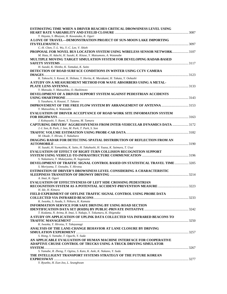| ESTIMATING TIME WHEN A DRIVER REACHES CRITICAL DROWSINESS LEVEL USING            |  |
|----------------------------------------------------------------------------------|--|
| Y. Hayata, S. Bhuiyan, H. Kawanaka, K. Oguri                                     |  |
| A LOVE OF TRAVEL-DEMONSTRATION PROJECT OF SUN-MOON LAKE IMPORTING                |  |
|                                                                                  |  |
| C.-H. Chen, T.-L. Wu, Y.-C. Lee, V. Shieh                                        |  |
| PROPOSAL FOR NOVEL BUS LOCATION SYSTEM USING WIRELESS SENSOR NETWORK 3107        |  |
| M. Hata, H. Adachi, H. Suzuki, K. Kitase, Y. Matsumoto, A. Watanabe              |  |
| MULTIPLE MOVING TARGET SIMULATION SYSTEM FOR DEVELOPING RADAR-BASED              |  |
|                                                                                  |  |
| H. Suzuki, K. Shinbo, K. Tamukai, K. Saito                                       |  |
| DETECTION OF ROAD SURFACE CONDITIONS IN WINTER USING CCTV CAMERA                 |  |
|                                                                                  |  |
| K. Takeuchi, S. Kawai, K. Shibata, Y. Horita, K. Murakami, H. Takata, Y. Oohashi |  |
| A STUDY ON A MEASUREMENT METHOD FOR WAVE ABSORBERS USING A METAL-                |  |
|                                                                                  |  |
| Y. Matsuda, Y. Matsushita, O. Hashimoto                                          |  |
| DEVELOPMENT OF A DRIVER SUPPORT SYSTEM AGAINST PEDESTRIAN ACCIDENTS              |  |
|                                                                                  |  |
| S. Yasuhara, A. Kouzai, T. Takano                                                |  |
| <b>IMPROVEMENT OF THE FREE FLOW SYSTEM BY ARRANGEMENT OF ANTENNA 3153</b>        |  |
| Y. Matsushita, A. Watanabe                                                       |  |
| <b>EVALUATION OF DRIVER ACCEPTANCE OF ROAD WORK SITE INFORMATION SYSTEM</b>      |  |
|                                                                                  |  |
| J. Kobayashi, Y. Ikami, Y. Toyama, M. Tamura                                     |  |
| CAPTURING DRIVERS' AGGRESSIVENESS FROM INTER-VEHICULAR DYNAMICS DATA  3172       |  |
| J.-I. Son, B. Park, J. Son, M. Park, T. Park, S. Son                             |  |
|                                                                                  |  |
| M. Okude, T. Hiruta, T. Nakahara                                                 |  |
| <b>IMAGING RADAR FOR DETECTING SPATIAL DISTRIBUTION OF REFLECTION FROM AN</b>    |  |
|                                                                                  |  |
| H. Suzuki, H. Yamashita, K. Saito, H. Takahashi, H. Yuasa, K. Saimura, T. Usui   |  |
| <b>EVALUATION OF EFFECT OF RIGHT-TURN COLLISION RECOGNITION SUPPORT</b>          |  |
|                                                                                  |  |
| S. Nakamura, Y. Mukaiyama, H. Suganuma                                           |  |
| DEVELOPMENT OF TRAFFIC SIGNAL CONTROL BASED ON STATISTICAL TRAVEL TIME  3205     |  |
| S. Moriyama, T. Ootsubo, Y. Hirotsu                                              |  |
| <b>ESTIMATION OF DRIVER'S DROWSINESS LEVEL CONSIDERING A CHARACTERISTIC</b>      |  |
| A. Imai, K. Oguri                                                                |  |
|                                                                                  |  |
| <b>EVALUATION OF EFFECTIVENESS OF LEFT SIDE CROSSING PEDESTRIAN</b>              |  |
| H. Ide, H. Kimura                                                                |  |
| FIELD EXPERIMENT OF OFFLINE TRAFFIC SIGNAL CONTROL USING PROBE DATA              |  |
|                                                                                  |  |
| K. Iwaoka, S. Asada, S. Niikura, K. Kamata                                       |  |
| <b>INFORMATION SERVICE FOR SAFE DRIVING BY USING ROAD SECTION</b>                |  |
|                                                                                  |  |
| T. Kodama, N. Arima, R. Imai, S. Nakajo, Y. Tokumaru, K. Shigetaka               |  |
| A STUDY ON APPLICATION OF UPLINK DATA COLLECTED VIA INFRARED BEACONS TO          |  |
|                                                                                  |  |
| K. Iwaoka, Y. Hirotsu, Y. Takayanagi                                             |  |
| ANALYSIS OF THE LANE-CHANGE BEHAVIOR AT LANE CLOSURE BY DRIVING                  |  |
|                                                                                  |  |
| S. Hong, S. Yamabe, T. Oguchi, Y. Suda                                           |  |
| AN APPLICABLE EVALUATION OF HUMAN MACHINE INTERFACE FOR COOPERATIVE              |  |
| ADAPTIVE CRUISE CONTROL OF TRUCKS USING A TRUCK DRIVING SIMULATOR                |  |
|                                                                                  |  |
| S. Yamabe, R. Zheng, T. Ogitsu, S. Kato, K. Aoki, K. Nakano, Y. Suda             |  |
| THE INTELLIGENT TRANSPORT SYSTEMS STRATEGY OF THE FUTURE KOREAN                  |  |
|                                                                                  |  |
| Y. Ryunho, H. Eun-Joo, L. Seunghwan                                              |  |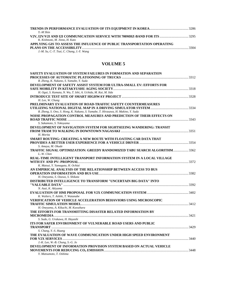| Y -M Shin                                                               |      |
|-------------------------------------------------------------------------|------|
|                                                                         |      |
| K. Kishmoto, M. Jinno, H. Kato                                          |      |
| APPLYING GIS TO ASSESS THE INFLUENCE OF PUBLIC TRANSPORTATION OPERATING |      |
|                                                                         | 3304 |
| J.-M. Su, C.-T. Tsai, C. Chang, J.-Y. Wang                              |      |

| SAFETY EVALUATION OF SYSTEM FAILURES IN FORMATION AND SEPARATION                 |  |
|----------------------------------------------------------------------------------|--|
|                                                                                  |  |
| R. Zheng, K. Nakano, S. Yamabe, Y. Suda                                          |  |
| DEVELOPMENT OF SAFETY ASSIST SYSTEM FOR ULTRA-SMALL EV: EFFORTS FOR              |  |
|                                                                                  |  |
| H. Ogai, S. Kamata, N. Wu, T. Ishi, A. Uchida, M. Kai, M. Iida                   |  |
|                                                                                  |  |
| H. Lee, W. Chung                                                                 |  |
| PRELIMINARY EVALUATION OF ROAD-TRAFFIC SAFETY COUNTERMEASURES                    |  |
|                                                                                  |  |
| R. Zheng, S. Ono, S. Hong, K. Nakano, S. Yamabe, T. Hirasawa, H. Makino, Y. Suda |  |
| NOISE PROPAGATION CONTROL MEASURES AND PREDICTION OF THEIR EFFECTS ON            |  |
|                                                                                  |  |
|                                                                                  |  |
| S. Sakamoto, S. Yokoyama                                                         |  |
| DEVELOPMENT OF NAVIGATION SYSTEM FOR SIGHTSEEING WANDERING: TRANSIT              |  |
|                                                                                  |  |
| H. Morita                                                                        |  |
| SMART ROUTING: CREATING A NEW ROUTE WITH FLOATING CAR DATA THAT                  |  |
|                                                                                  |  |
| S. Amaya, M. Okude                                                               |  |
| TRAFFIC SIGNAL OPTIMIZATION: GREEDY RANDOMIZED TABU SEARCH ALGORITHM 3362        |  |
| L.-W. Chen                                                                       |  |
| <b>REAL-TIME INTELLIGENT TRANSPORT INFORMATION SYSTEM IN A LOCAL VILLAGE</b>     |  |
|                                                                                  |  |
| K. Matsui, Y. Yamagata, H. Ochiai                                                |  |
| AN EMPIRICAL ANALYSIS OF THE RELATIONSHIP BETWEEN ACCESS TO BUS                  |  |
|                                                                                  |  |
| H. Oneyama, S. Ozawa, S. Shikata                                                 |  |
| DISTRIBUTED INTELLIGENCE TO TRANSFORM "UNCERTAIN BIG DATA" INTO                  |  |
|                                                                                  |  |
| N. Asai, K. Akiyama                                                              |  |
|                                                                                  |  |
| K. Walters, T. Ashiki, T. Watanabe                                               |  |
| <b>VERIFICATION OF VEHICLE ACCELERATION BEHAVIORS USING MICROSCOPIC</b>          |  |
|                                                                                  |  |
| H. Oneyama, A. Kikuchi, M. Kuwahara                                              |  |
| THE EFFORTS FOR TRANSMITTING DISASTER RELATED INFORMATION BY                     |  |
|                                                                                  |  |
|                                                                                  |  |
| S. Sudo, G. Urakawa, H. Hayashi                                                  |  |
| ITS FOR SAFER ENVIRONMENT OF VULNERABLE ROAD USERS AND PUBLIC                    |  |
|                                                                                  |  |
| S. Chang, Y.-S. Huang                                                            |  |
| THE EVALUATION OF WAVE COMMUNICATION UNDER HIGH SPEED ENVIRONMENT                |  |
|                                                                                  |  |
| $J.-K.$ Lee, W.-B. Chung, S.-G. Jo                                               |  |
| DEVELOPMENT OF INFORMATION PROVISION SYSTEM BASED ON ACTUAL VEHICLE              |  |
|                                                                                  |  |
|                                                                                  |  |

*Y. Matsumoto, T. Oshima*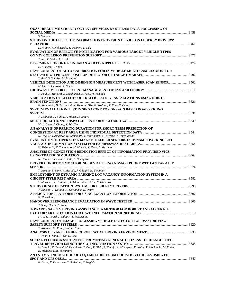| QUASI-REALTIME STREET CONTEXT SERVICES BY STREAM DATA PROCESSING OF                                                                 |  |
|-------------------------------------------------------------------------------------------------------------------------------------|--|
| S. Shimada                                                                                                                          |  |
| STUDY ON THE EFFECT OF INFORMATION PROVISION OF VICS ON ELDERLY DRIVERS'                                                            |  |
| K. Hibino, Y. Kobayashi, T. Daimon, T. Oda                                                                                          |  |
| <b>EVALUATION OF EFFECTIVE NOTIFICATION FOR VARIOUS TARGET VEHICLE TYPES</b>                                                        |  |
| Y. Ino, T. Chiba, T. Kizaki                                                                                                         |  |
| H. Kikuchi, F. Endo                                                                                                                 |  |
| DEVELOPMENT OF AUTO-CALIBRATION FOR IN-VEHICLE MULTI-CAMERA MONITOR                                                                 |  |
| Y. Aoki, S. Shimizu, M. Mizutani                                                                                                    |  |
| VEHICLE DETECTION AND DIMENSION MEASUREMENT WITH LASER SCAN SENSOR 3502                                                             |  |
| M. Ota, T. Okazaki, K. Nakao                                                                                                        |  |
| T. Paul, H. Hayashi, S. Sakakibara, H. Aisu, H. Yamada                                                                              |  |
| <b>VERIFICATION OF EFFECTS OF TRAFFIC SAFETY INSTALLATIONS USING NIRS OF</b>                                                        |  |
|                                                                                                                                     |  |
| K. Yamamoto, H. Takahashi, K. Tago, N. Oka, K. Yoshino, T. Kato, Y. Orino                                                           |  |
| SYSTEM EVALUATION TEST IN SINGAPORE FOR GNSS/CN BASED ROAD PRICING                                                                  |  |
| Y. Mabuchi, K. Fujita, R. Hiura, M. Iehara                                                                                          |  |
|                                                                                                                                     |  |
| W.-L. Chen, S. Chang, Y.-W. Chen<br>AN ANALYSIS OF PARKING DURATION FOR SHORT-TERM PREDICTION OF                                    |  |
|                                                                                                                                     |  |
| N. Uno, M. Hasegawa, K. Yamamoto, T. Muramatsu, M. Miyake, Y. Tsuchihashi                                                           |  |
| <b>EVALUATION OF OPERATING MAGNETIC-FIELD SENSORS IN DYNAMIC PARKING LOT</b>                                                        |  |
|                                                                                                                                     |  |
| H. Takahashi, K. Yamamoto, M. Miyake, K. Tago, T. Muramatsu<br>ANALYSIS OF CONGESTION REDUCTION EFFECT OF INFORMATION PROVIDED VICS |  |
|                                                                                                                                     |  |
| N. Uno, F. Kurauchi, T. Oda, S. Nakagawa                                                                                            |  |
| DRIVER CONDITION MONITORING DEVICE USING A SMARTPHONE WITH AN EAR-CLIP                                                              |  |
| Y. Nakano, S. Sano, Y. Masuda, J. Odagiri, H. Tomimori                                                                              |  |
| <b>EMPLOYMENT OF DYNAMIC PARKING LOT VACANCY INFORMATION SYSTEM IN A</b>                                                            |  |
|                                                                                                                                     |  |
| T. Muramatsu, H. Aihara, Y. Ishibashi, F. Oribe, Y. Ishikawa                                                                        |  |
| Y. Nakano, T. Kojima, H. Kawanaka, K. Oguri                                                                                         |  |
|                                                                                                                                     |  |
| N. Harashina                                                                                                                        |  |
|                                                                                                                                     |  |
| Y. Song, H. Oh, T. Yoon                                                                                                             |  |
| TOWARDS SAFETY DRIVING ASSISTANCE: A METHOD FOR ROBUST AND ACCURATE                                                                 |  |
| S. Yu, S. Picard, J. Odagiri, S. Nakashima                                                                                          |  |
| DEVELOPMENT OF IMAGE-PROCESSING VEHICLE DETECTOR FOR DSSS (DRIVING                                                                  |  |
|                                                                                                                                     |  |
| Y. Koreeda, M. Kobayashi, H. Kato                                                                                                   |  |
| T. Yoon, Y. Song, H. Oh, H. Cho                                                                                                     |  |
| SOCIAL FEEDBACK SYSTEM FOR PROMOTING GENERAL CITIZENS TO CHANGE THEIR                                                               |  |
|                                                                                                                                     |  |
| K. Ikeuchi, T. Oguchi, M. Kuwahara, S. Ono, T. Oishi, S. Kamijo, A. Mitsuyasu, K. Koide, R. Horiguchi, M. Iijima,                   |  |
| H. Hanabusa, M. Yoshimura                                                                                                           |  |
| AN ESTIMATING METHOD OF CO <sub>2</sub> EMISSIONS FROM LOGISTIC VEHICLES USING ITS                                                  |  |
| K. Inoue, F. Kanazawa, Y. Shikatani, T. Negishi                                                                                     |  |
|                                                                                                                                     |  |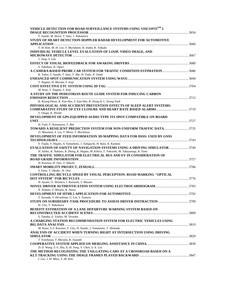| EVALUATION OF SAFETY OF NAVIGATION SYSTEMS USING A DRIVING SIMULATOR 3749 |
|---------------------------------------------------------------------------|
|                                                                           |
|                                                                           |
|                                                                           |
|                                                                           |
|                                                                           |
|                                                                           |
|                                                                           |
|                                                                           |
|                                                                           |
|                                                                           |
|                                                                           |
|                                                                           |
|                                                                           |
|                                                                           |
|                                                                           |
|                                                                           |
|                                                                           |
|                                                                           |
|                                                                           |
|                                                                           |
|                                                                           |
|                                                                           |
|                                                                           |
|                                                                           |
|                                                                           |
|                                                                           |
|                                                                           |
|                                                                           |
|                                                                           |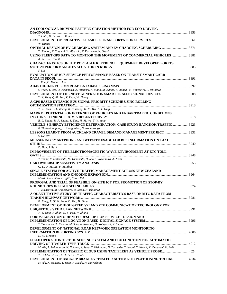| AN ECOLOGICAL DRIVING PATTERN CREATION METHOD FOR ECO-DRIVING                                                                             |  |
|-------------------------------------------------------------------------------------------------------------------------------------------|--|
| Y. Ohta, M. Ikawa, H. Konaka                                                                                                              |  |
| W. Huang                                                                                                                                  |  |
| <b>OPTIMAL DESIGN OF EV CHARGING SYSTEM AND EV CHARGING SCHEDULING </b> 3871<br>T. Shimoo, K. Yaguchi, Y. Miyazaki, T. Kuriyama, N. Ozaki |  |
| USING FLEET GPS DATA TO MONITOR THE MOVEMENT OF COMMERCIAL VEHICLES  3881<br>A. Kerr, S. Hewett                                           |  |
| <b>CHARACTERISTICS OF THE PORTABLE REFERENCE EQUIPMENT DEVELOPED FOR ITS</b>                                                              |  |
| S. Lee                                                                                                                                    |  |
| <b>EVALUATION OF BUS SERVICE PERFORMANCE BASED ON TRANSIT SMART CARD</b>                                                                  |  |
|                                                                                                                                           |  |
| J. Eom, D. Moon, J. Lee                                                                                                                   |  |
| S. Yoon, T. Ota, O. Nishimura, A. Imanishi, K. Mano, M. Kanba, K. Adachi, M. Yonezawa, R. Ichikawa                                        |  |
|                                                                                                                                           |  |
| Y.-Y. Yang, Q.-F. Fan, Y. Zhan, W. Zhang                                                                                                  |  |
| A GPS-BASED DYNAMIC BUS SIGNAL PRIORITY SCHEME USING ROLLING                                                                              |  |
|                                                                                                                                           |  |
| Y.-Y. Chen, B.-L. Zhang, R.-F. Zhang, H.-M. Wu, Y.-Y. Yang                                                                                |  |
| <b>MARKET POTENTIAL OF INTERNET OF VEHICLES AND URBAN TRAFFIC CONDITIONS</b>                                                              |  |
|                                                                                                                                           |  |
| B.-L. Zhang, R.-F. Zhang, S. Ting, H.-M. Wu, Y.-Y. Yang                                                                                   |  |
| VEHICLE'S ENERGY EFFICIENCY DETERMINATION: CASE STUDY BANGKOK TRAFFIC 3923                                                                |  |
| R. Thitipatanapong, S. Klongnaivai, N. Noomwongs                                                                                          |  |
|                                                                                                                                           |  |
| S. Hewett                                                                                                                                 |  |
| MEASURING SMARTPHONE AND WEBSITE USAGE FOR BUS INFORMATION ON TAXI                                                                        |  |
| D. Han, S. Park                                                                                                                           |  |
| IMPROVEMENT OF THE ELECTROMAGNETIC WAVE ENVIRONMENT AT ETC TOLL                                                                           |  |
|                                                                                                                                           |  |
| Y. Tsuda, Y. Matsushita, M. Yamashita, H. Seo, T. Nakamura, A. Noda                                                                       |  |
|                                                                                                                                           |  |
| Q. Yi, D.-M. Liu, F.-M. Zhou                                                                                                              |  |
| SINGLE SYSTEM FOR ACTIVE TRAFFIC MANAGEMENT ACROSS NEW ZEALAND                                                                            |  |
|                                                                                                                                           |  |
| Martin Leak, Steve Griffith, Karen Fehl                                                                                                   |  |
| PROPOSAL AND TRIAL OF FEASIBLE ON-SITE ICT FOR PROMOTION OF STOP-BY                                                                       |  |
|                                                                                                                                           |  |
| T. Hirasawa, M. Ogasawara, D. Ikeda, H. Ishikawa                                                                                          |  |
| A QUANTITATIVE STUDY OF TRAFFIC CHARACTERISTICS BASE ON MTC DATA FROM                                                                     |  |
|                                                                                                                                           |  |
| P. Jiang, T. Qi, N. Zhao, D. Yao, H. Zhou                                                                                                 |  |
| DEVELOPMENT OF HIGH-SPEED V2I AND V2V COMMUNICATION TECHNOLOGY FOR                                                                        |  |
|                                                                                                                                           |  |
| Y.-Y. Yang, Y. Zhan, Q.-F. Fan, W. Zhang                                                                                                  |  |
| LORDS: LOCATION-ORIENTED DESCRIPTION SERVICE - DESIGN AND                                                                                 |  |
| Y. Tsukahara, T. Nemoto, M. Sato, A. Kawami, H. Kobayashi, K. Sugiura                                                                     |  |
| DEVELOPMENT OF NATIONAL ROAD NETWORK OPERATION MONITORING                                                                                 |  |
|                                                                                                                                           |  |
| H. Li, J. Zhang                                                                                                                           |  |
| FIELD OPERATION TEST OF SENSING SYSTEM AND ECU FUNCTION FOR AUTOMATIC                                                                     |  |
|                                                                                                                                           |  |
| M. Aki, T. Rojanaarpa, K. Nakano, Y. Suda, T. Kishinami, N. Takasuka, T. Isogai, T. Kawai, K. Onoguchi, K. Aoki                           |  |
| IMPLEMENTATION OF TRAFFIC CLOUD USING TAXI FLEET AS VEHICLE PROBE 4024                                                                    |  |
| Y.-C. Cho, W. Lin, K.-T. Lee, C.-Y. Mu                                                                                                    |  |
| DEVELOPMENT OF BACK-UP BRAKE SYSTEM FOR AUTOMATIC PLATOONING TRUCKS 4034                                                                  |  |
| M. Aki, K. Nakano, Y. Suda, Y. Suzuki, H. Kawashima                                                                                       |  |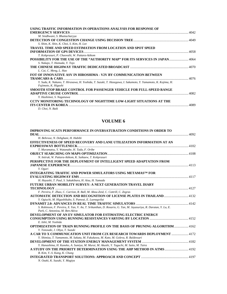| USING TRAFFIC INFORMATION IN OPERATIONS ANALYSIS FOR RESPONSE OF                                             |  |
|--------------------------------------------------------------------------------------------------------------|--|
|                                                                                                              |  |
| M. Sindhwani, S. Bhattacharyya                                                                               |  |
|                                                                                                              |  |
| S. Shim, K. Shin, K. Choi, S. Kim, H. Lee                                                                    |  |
| <b>TRAVEL TIME AND SPEED ESTIMATION FROM LOCATION AND SPOT SPEED</b>                                         |  |
|                                                                                                              |  |
| T. Kohprasurt, P. Chaovalit, W. Pattara-Atikom                                                               |  |
| POSSIBILITY FOR THE USE OF THE "AUTHORITY MAP" FOR ITS SERVICES IN JAPAN 4064                                |  |
| S. Nakajo, T. Hamada, Y. Tojo                                                                                |  |
|                                                                                                              |  |
| L. Cai, C. Meng, L. Hao                                                                                      |  |
| FOT OF INNOVATIVE ASV IN HIROSHIMA - V2V BY COMMUNICATION BETWEEN                                            |  |
|                                                                                                              |  |
| Y. Suda, K. Nakano, T. Hirasawa, H. Yoshida, T. Suzuki, T. Hasegawa, I. Sakamoto, Y. Yamamoto, K. Kojima, H. |  |
| Fujimoto, K. Higashi                                                                                         |  |
| SMOOTH STOP BRAKE CONTROL FOR PASSENGER VEHICLE FOR FULL-SPEED RANGE                                         |  |
|                                                                                                              |  |
| Y. Hashimot, S. Naganawa                                                                                     |  |
| CCTV MONITORING TECHNOLOGY OF NIGHTTIME LOW-LIGHT SITUATIONS AT THE                                          |  |
|                                                                                                              |  |
| <u>יי מזי זה ה</u>                                                                                           |  |

#### *D. Choi, N. Baik*

| <b>IMPROVING SCATS PERFORMANCE IN OVERSATURATION CONDITIONS IN ORDER TO</b>                                     |  |
|-----------------------------------------------------------------------------------------------------------------|--|
|                                                                                                                 |  |
| H. Behrooz, N. Dehghani, H. Habibi                                                                              |  |
| EFFECTIVENESS OF SPEED RECOVERY AND LANE UTILIZATION INFORMATION AT AN                                          |  |
|                                                                                                                 |  |
| T. Muramatsu, Y. Watanabe, H. Tada, F. Oribe                                                                    |  |
|                                                                                                                 |  |
| N. Intiruk, W. Pattara-Atikom, K. Saikaew, T. Kohprasurt                                                        |  |
| PERSPECTIVE FOR THE DEPLOYMENT OF INTELLIGENT SPEED ADAPTATION FROM                                             |  |
|                                                                                                                 |  |
| Y. Oguri                                                                                                        |  |
| INTEGRATING TRAFFIC AND POWER SIMULATORS USING METAMASTM FOR                                                    |  |
|                                                                                                                 |  |
| H. Hayashi, T. Paul, S. Sakakibara, H. Aisu, H. Yamada                                                          |  |
| FUTURE URBAN MOBILITY SURVEY: A NEXT GENERATION TRAVEL DIARY                                                    |  |
|                                                                                                                 |  |
| F. Pereira, F. Zhao, C. Carrion, R. Ball, M. Abou-Zeid, C. Cottrill, C. Zegras                                  |  |
| AUTOMATIC DETECTION AND RECOGNITION OF LICENSE PLATES IN THAILAND 4132                                          |  |
| Y. Ogiuchi, M. Higashikubo, S. Panwai, E. Luenagvilai                                                           |  |
|                                                                                                                 |  |
| S. Robinson, F. Pereira, X. Yan, V. An, T. Srikanthan, D. Rosario, G. Tan, M. Jayasuriya, R. Daratan, Y. Lu, E. |  |
| Park, C. Antoniou, M. Ben-Akiva                                                                                 |  |
| DEVELOPMENT OF AN EV SIMULATOR FOR ESTIMATING ELECTRIC ENERGY                                                   |  |
|                                                                                                                 |  |
| E. Ishii, M. Yoshida                                                                                            |  |
| <b>OPTIMIZATION OF TRAIN RUNNING PROFILE ON THE BASIS OF PRUNING ALGORITHM 4162</b>                             |  |
| Y. Tonosaki, J. Ohya, T. Suzuki                                                                                 |  |
| A CAR TO X COMMUNICATION UNIT FROM C2X RESEARCH TOWARDS DEPLOYMENT  4172                                        |  |
| Y. Shimizu, T. Yamamoto, M. Sakata, M. Fukukawa, M. Kato, M. Goleva, R. Baldessari                              |  |
| DEVELOPMENT OF THE STATION ENERGY MANAGEMENT SYSTEM                                                             |  |
| Y. Hanashima, H. Kaneko, A. Sumiya, M. Murai, M. Akashi, Y. Taguchi, M. Saito, M. Taira                         |  |
|                                                                                                                 |  |
| B. Kim, Y.-S. Kang, K. Chung                                                                                    |  |
|                                                                                                                 |  |
| N. Ozaki, K. Suzuki, Y. Mugiya                                                                                  |  |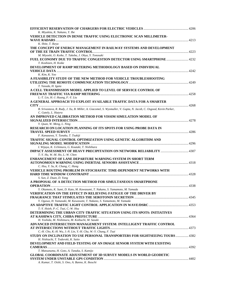| K. Miyakita, K. Nakano, Y. Ibe                                                                                                            |  |
|-------------------------------------------------------------------------------------------------------------------------------------------|--|
| VEHICLE DETECTION IN DENSE TRAFFIC USING ELECTRONIC SCAN MILLIMETER-                                                                      |  |
|                                                                                                                                           |  |
| K. Shite, T. Ikeya                                                                                                                        |  |
| THE CONCEPT OF ENERGY MANAGEMENT IN RAILWAY SYSTEMS AND DEVELOPMENT                                                                       |  |
|                                                                                                                                           |  |
| M. Miyoshi, O. Koike, T. Takeba, J. Ohya, Y. Tonosaki                                                                                     |  |
| FUEL ECONOMY DUE TO TRAFFIC CONGESTION DETECTOR USING SMARTPHONE  4232                                                                    |  |
| T. Koshizen, H. Koike                                                                                                                     |  |
| DEVELOPMENT OF RAMP METERING METHODOLOGY BASED ON INDIVIDUAL                                                                              |  |
|                                                                                                                                           |  |
| K. Kim, K. Yoo                                                                                                                            |  |
| A FEASIBILITY STUDY OF THE NEW METHOD FOR VEHICLE TROUBLESHOOTING                                                                         |  |
|                                                                                                                                           |  |
| T. Yasuda, H. Igata                                                                                                                       |  |
| A CELL TRANSMISSION MODEL APPLIED TO LEVEL OF SERVICE CONTROL OF                                                                          |  |
|                                                                                                                                           |  |
| L.-T. Lin, H.-J. Huang, F.-Y. Liu                                                                                                         |  |
| A GENERAL APPROACH TO EXPLOIT AVAILABLE TRAFFIC DATA FOR A SMARTER                                                                        |  |
|                                                                                                                                           |  |
| B. Srivastava, R. Rudy, J. Xu, B. Miller, A. Giacomel, S. Wysmuller, V. Gupta, N. Jacob, C. Osgood, Kevin Parker,<br>C. Gately, L. Hutyra |  |
| AN IMPROVED CALIBRATION METHOD FOR VISSIM SIMULATION MODEL OF                                                                             |  |
|                                                                                                                                           |  |
| Y. Quan, W. Meng, L. Ning                                                                                                                 |  |
| RESEARCH ON LOCATION PLANNING OF ITS SPOTS FOR USING PROBE DATA IN                                                                        |  |
|                                                                                                                                           |  |
| F. Kanazawa, Y. Tanaka, T. Tsukiji                                                                                                        |  |
| TRAFFIC SIGNAL CONTROL OPTIMIZATION USING GENETIC ALGORITHM AND                                                                           |  |
|                                                                                                                                           |  |
| I. Wijaya, K. Uchimura, G. Koutaki, T. Nishihara                                                                                          |  |
| <b>IMPACT ASSESSMENT OF HEAVY PRECIPITATION ON NETWORK RELIABILITY  4307</b>                                                              |  |
| T.-Y. Hu, W.-M. Ho, L.-W. Chen                                                                                                            |  |
| <b>ENHANCEMENT OF LANE DEPARTURE WARNING SYSTEM IN SHORT TERM</b>                                                                         |  |
|                                                                                                                                           |  |
| C. Hsu, Y. Su, K. Chang, C. Hung                                                                                                          |  |
| VEHICLE ROUTING PROBLEM IN STOCHASTIC TIME-DEPENDENT NETWORKS WITH                                                                        |  |
|                                                                                                                                           |  |
| S. Sun, Z. Duan, D. Yang                                                                                                                  |  |
| A PROPOSAL OF A DETECTION METHOD FOR SIMULTANEOUS SMARTPHONE                                                                              |  |
|                                                                                                                                           |  |
| Y. Okamoto, K. Sumi, D. Kato, M. Kawasumi, T. Nakano, S. Yamamoto, M. Yamada                                                              |  |
| VERIFICATION ON THE EFFECT IN RELIEVING FATIGUE OF THE DRIVER BY                                                                          |  |
|                                                                                                                                           |  |
| Y. Ogawa, H. Yamasaki, M. Kawasumi, T. Nakano, S. Yamamoto, M. Yamada                                                                     |  |
| T.-Y. Hsieh, P.-C. Tsai, C.-W. Hsu                                                                                                        |  |
| DETERMINING THE URBAN CITY-TRAFFIC SITUATION USING ITS SPOTS: INITIATIVES                                                                 |  |
|                                                                                                                                           |  |
| H. Yoshida, M. Nishimura, M. Koibuchi, M. Sasaki                                                                                          |  |
| ADVANCED INTERSECTION MANAGEMENT SYSTEM: INTELLIGENT TRAFFIC CONTROL                                                                      |  |
|                                                                                                                                           |  |
| C.-H. Cho, K.-H. Wu, J.-N. Lin, Y.-H. Chu, W.-Y. Chang, F. Tsai                                                                           |  |
| STUDY ON INCLINATION TO USE PERSONAL TRANSPORTERS FOR SIGHTSEEING TOURS  4382                                                             |  |
| H. Nishiuchi, T. Todoroki, K. Saito                                                                                                       |  |
| DEVELOPMENT AND FIELD-TESTING OF AN IMAGE SENSOR SYSTEM WITH EXISTING                                                                     |  |
|                                                                                                                                           |  |
| T. Matsunuma, H. Goto, A. Tanaka, S. Kamijo                                                                                               |  |
| <b>GLOBAL COORDINATE ADJUSTMENT OF 3D SURVEY MODELS IN WORLD GEODETIC</b>                                                                 |  |
|                                                                                                                                           |  |
| A. Kumar, T. Oishi, S. Ono, A. Banno, K. Ikeuchi                                                                                          |  |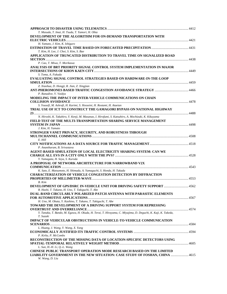| T. Masuda, T. Imai, H. Tsuda, T. Yamori, H. Ohta                                                             |  |
|--------------------------------------------------------------------------------------------------------------|--|
| DEVELOPMENT OF THE ALGORITHM FOR ON-DEMAND TRANSPORTATION WITH                                               |  |
|                                                                                                              |  |
| H. Yamato, J. Kim, K. Ishiguro                                                                               |  |
|                                                                                                              |  |
| T. Kim, H. Lee, J. Choi, S. Kim, S. Bae                                                                      |  |
| APPLICATION OF TRUNCATED DISTRIBUTION TO TRAVEL TIME ON SIGNALIZED ROAD                                      |  |
|                                                                                                              |  |
| P. Cao, T. Miwa, T. Morikawa                                                                                 |  |
| ANALYSIS OF BRT PRIORITY SIGNAL CONTROL SYSTEM IMPLEMENTATION IN MAJOR                                       |  |
|                                                                                                              |  |
| S. Toma, A. Fukuda                                                                                           |  |
| EVALUATING SIGNAL CONTROL STRATEGIES BASED ON HARDWARE-IN-THE-LOOP                                           |  |
|                                                                                                              |  |
| Z. Xiaohua, D. Hongji, R. Jian, Z. Xingjian                                                                  |  |
|                                                                                                              |  |
| P. Ranadive, V. Vaidya                                                                                       |  |
| MODELING THE IMPACT OF INTER-VEHICLE COMMUNICATIONS ON CHAIN                                                 |  |
|                                                                                                              |  |
| S. Yousefi, M. Ashrafi, H. Karimi, S. Hosseini, H. Rostami, H. Ataeian                                       |  |
|                                                                                                              |  |
| TRIAL USE OF ICT TO CONSTRUCT THE GAMAGORI BYPASS ON NATIONAL HIGHWAY                                        |  |
|                                                                                                              |  |
| N. Hiroshi, K. Takahiro, Y. Kenji, M. Masanao, I. Hirofumi, S. Katsuhiro, A. Mochizuki, K. Kikuyama          |  |
| FIELD TEST OF THE MULTI-TRANSPORTATION SHARING SERVICE MANAGEMENT                                            |  |
|                                                                                                              |  |
| J. Kim, H. Yamato                                                                                            |  |
| STRONGER VANET PRIVACY, SECURITY, AND ROBUSTNESS THROUGH                                                     |  |
|                                                                                                              |  |
| E. Hill                                                                                                      |  |
|                                                                                                              |  |
| P. Anantharam, B. Srivastava                                                                                 |  |
| AGENT-BASED SIMULATION OF LOCAL ELECTRICITY SHARING SYSTEM: CAN WE                                           |  |
|                                                                                                              |  |
| Y. Yamagata, H. Seya, S. Kuroda                                                                              |  |
| A PROPOSAL OF NETWORK ARCHITECTURE FOR NARROWBAND V2X                                                        |  |
|                                                                                                              |  |
| K. Sato, E. Matsumoto, H. Shimada, A. Yamaguchi, S. Honda, H. Takada                                         |  |
| <b>CHARACTERIZATION OF VEHICLE CONGESTION DETECTION BY DIFFRACTION</b>                                       |  |
|                                                                                                              |  |
| B. Kim                                                                                                       |  |
| DEVELOPMENT OF GPS/DSRC IN-VEHICLE UNIT FOR DRIVING SAFETY SUPPORT  4562                                     |  |
| R. Hashi, T. Takano, H. Uno, T. Takiguchi, T. Abe                                                            |  |
| DUAL-BAND CIRCULARLY POLARIZED PATCH ANTENNA WITH PARASITIC ELEMENTS                                         |  |
|                                                                                                              |  |
| H. Uno, M. Obata, Y. Kashino, T. Takano, T. Takiguchi, T. Abe                                                |  |
| <b>TOWARD THE DEVELOPMENT OF A DRIVING SUPPORT SYSTEM FOR REPRESSING</b>                                     |  |
|                                                                                                              |  |
| Y. Tanaka, T. Bando, M. Egawa, H. Okuda, H. Terai, T. Hirayama, C. Miyajima, D. Deguchi, K. Kaji, K. Takeda, |  |
| T. Suzuki                                                                                                    |  |
| IMPACT OF VEHICULAR OBSTRUCTIONS IN VEHICLE-TO-VEHICLE COMMUNICATION                                         |  |
|                                                                                                              |  |
| L. Huang, J. Wang, Y. Wang, X. Yang                                                                          |  |
|                                                                                                              |  |
| P. Kirby, P. McCombs                                                                                         |  |
| RECONSTRUCTION OF THE MISSING DATA OF LOCATION-SPECIFIC DETECTORS USING                                      |  |
|                                                                                                              |  |
| L. Sun, H.-H. Li, Q.-L. Wang                                                                                 |  |
| <b>CHINESE PUBLIC TRANSPORT OPERATION MODE RESEARCH BASED ON THE LIMITED</b>                                 |  |
| LIABILITY GOVERNMENT IN THE NEW SITUATION: CASE STUDY OF FOSHAN, CHINA  4615                                 |  |
| W. Wang, D. Liu                                                                                              |  |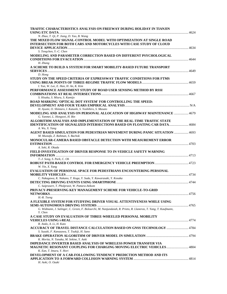| <b>TRAFFIC CHARACTERISTICS ANALYSIS ON FREEWAY DURING HOLIDAY IN TIANJIN</b>                                                                       |  |
|----------------------------------------------------------------------------------------------------------------------------------------------------|--|
|                                                                                                                                                    |  |
| N. Zhao, T. Qi, P. Jiang, D. Yao, B. Wang                                                                                                          |  |
| THE MIXED FLOW SIGNAL-CONTROL MODEL WITH OPTIMIZATION AT SINGLE ROAD<br><b>INTERSECTION FOR BOTH CARS AND MOTORCYCLES WITH CASE STUDY OF CLOUD</b> |  |
|                                                                                                                                                    |  |
| S. Tengchen, Y.-C. Chen                                                                                                                            |  |
| MODELING AND PARAMETER CORRECTION BASED ON DIFFERENT PSYCHOLOGICAL                                                                                 |  |
|                                                                                                                                                    |  |
| H. Zhang                                                                                                                                           |  |
| A SCHEME TO BUILD A SYSTEM FOR SMART MOBILITY-BASED FUTURE TRANSPORT                                                                               |  |
|                                                                                                                                                    |  |
| D. Hong<br>STUDY ON THE SPEED CRITERIA OF EXPRESSWAY TRAFFIC CONDITIONS FOR FTMS                                                                   |  |
|                                                                                                                                                    |  |
| I. Yun, W. Lee, E. Han, H. An, K. Kim                                                                                                              |  |
| PERFORMANCE ASSESSMENT STUDY OF ROAD USER SENSING METHOD BY RSSI                                                                                   |  |
|                                                                                                                                                    |  |
| S. Hisaka, S. Miura, S. Kamijo                                                                                                                     |  |
| ROAD MARKING 'OPTICAL DOT SYSTEM' FOR CONTROLLING THE SPEED:                                                                                       |  |
| H. Ayumi, O. Shintaro, I. Katushi, S. Yoshihiro, S. Masato                                                                                         |  |
| MODELING AND ANALYSIS ON PERSONAL ALLOCATION OF HIGHWAY MAINTENANCE  4679                                                                          |  |
| G. Yanmei, L. Hongwei, H. Bin                                                                                                                      |  |
| ALGORITHM ANALYSIS AND IMPLEMENTATION OF THE REAL-TIME TRAFFIC STATE                                                                               |  |
| <b>IDENTIFICATION OF SIGNALIZED INTERSECTIONS BASED ON FLOATING CAR DATA 4684</b>                                                                  |  |
| A. Wu, X. Yang                                                                                                                                     |  |
| AGENT BASED SIMULATION FOR PEDESTRIAN MOVEMENT DURING PANIC SITUATION  4693                                                                        |  |
| M. Mustafa, Z. Rahman, S. Bachok                                                                                                                   |  |
| <b>MONOCULAR-CAMERA BASED OBSTACLE DETECTION WITH MEASUREMENT ERROR</b>                                                                            |  |
| A. Seki, R. Okada                                                                                                                                  |  |
| FIELD INVESTIGATION OF DRIVER RESPONSE TO IN-VEHICLE SAFETY WARNING                                                                                |  |
|                                                                                                                                                    |  |
| T.-J. Song, S. Park, C. Oh                                                                                                                         |  |
|                                                                                                                                                    |  |
| W. Yin, X. Yang<br><b>EVALUATION OF PERSONAL SPACE FOR PEDESTRIANS ENCOUNTERING PERSONAL</b>                                                       |  |
|                                                                                                                                                    |  |
| C. Nakagawa, K. Nakano, T. Koga, Y. Suda, Y. Kawarasaki, Y. Kosaka                                                                                 |  |
|                                                                                                                                                    |  |
| C. Saiprasert, T. Pholprasit, W. Pattara-Atikom                                                                                                    |  |
| PRIVACY-PRESERVING KEY MANAGEMENT SCHEME FOR VEHICLE-TO-GRID                                                                                       |  |
|                                                                                                                                                    |  |
| $H.-R.$ Tseng<br>A FLEXIBLE SYSTEM FOR STUDYING DRIVER VISUAL ATTENTIVENESS WHILE USING                                                            |  |
|                                                                                                                                                    |  |
| G. Widmann, J. Salinger, C. Green, F. Bolourchi, M. Nanjundaiah, R. Prieto, R. Llaneras, T. Yang, T. Kaufmann,                                     |  |
| Y. Chen                                                                                                                                            |  |
| A CASE STUDY ON EVALUATION OF THREE-WHEELED PERSONAL MOBILITY                                                                                      |  |
|                                                                                                                                                    |  |
| R. Ando, A. Li, H. Kato<br>ACCURACY OF TRAVEL DISTANCE CALCULATION BASED ON GNSS TECHNOLOGY  4784                                                  |  |
| S. Suzuki, F. Kanazawa, T. Tsukiji, H. Sano                                                                                                        |  |
|                                                                                                                                                    |  |
| K. Morita, N. Tanaka, M. Sekine, Y. Aoki                                                                                                           |  |
| <b>IMPEDANCE INVERTER BASED ANALYSIS OF WIRELESS POWER TRANSFER VIA</b>                                                                            |  |
| <b>MAGNETIC RESONANT COUPLING FOR CHARGING MOVING ELECTRIC VEHICLES 4804</b>                                                                       |  |
| K. Ean, T. Imura, Y. Hori                                                                                                                          |  |
| DEVELOPMENT OF A CAR-FOLLOWING TENDENCY PREDICTION METHOD AND ITS                                                                                  |  |
| H. Aoki, O. Ozaki                                                                                                                                  |  |
|                                                                                                                                                    |  |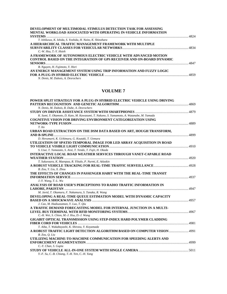| DEVELOPMENT OF MULTIMODAL STIMULUS DETECTION TASK FOR ASSESSING         |  |
|-------------------------------------------------------------------------|--|
| <b>MENTAL WORKLOAD ASSOCIATED WITH OPERATING IN-VEHICLE INFORMATION</b> |  |
|                                                                         |  |
| T. Ishikawa, K. Ishida, S. Yoshida, H. Naito, K. Shinohara              |  |
| A HIERARCHICAL TRAFFIC MANAGEMENT FRAMEWORK WITH MULTIPLE               |  |
|                                                                         |  |
| $C.-W.$ Hsu, T.-Y. Hsieh                                                |  |
| A FRAMEWORK OF AUTONOMOUS ELECTRIC VEHICLE WITH ADVANCED MOTION         |  |
| CONTROL BASED ON THE INTEGRATION OF GPS RECEIVER AND ON-BOARD DYNAMIC   |  |
|                                                                         |  |
| B. Nguyen, H. Fujimoto, Y. Hori                                         |  |
| AN ENERGY MANAGEMENT SYSTEM USING TRIP INFORMATION AND FUZZY LOGIC      |  |
|                                                                         |  |
| N. Denis. M. Dubois. A. Desrochers                                      |  |

| POWER SPLIT STRATEGY FOR A PLUG-IN HYBRID ELECTRIC VEHICLE USING DRIVING                                                      |      |
|-------------------------------------------------------------------------------------------------------------------------------|------|
|                                                                                                                               |      |
| N. Denis, M. Dubois, R. Dube, A. Desrochers                                                                                   |      |
|                                                                                                                               |      |
| K. Sumi, Y. Okamoto, D. Kato, M. Kawasumi, T. Nakano, S. Yamamoto, A. Watanabe, M. Yamada                                     |      |
| <b>COGNITIVE VISION FOR DRIVING ENVIRONMENT CATEGORIZATION USING</b>                                                          |      |
|                                                                                                                               |      |
| $T.$ Ito                                                                                                                      |      |
| URBAN ROAD EXTRACTION ON THE DSM DATA BASED ON ART, HOUGH TRANSFORM,                                                          |      |
|                                                                                                                               | 4899 |
| D. Herumurti, K. Uchimura, G. Koutaki, T. Uemura                                                                              |      |
| UTILIZATION OF SPATIO-TEMPORAL IMAGE FOR LED ARRAY ACQUISITION IN ROAD                                                        |      |
|                                                                                                                               |      |
| S. Usui, T. Yamazato, S. Arai, T. Yendo, T. Fujii, H. Okada                                                                   |      |
| <b>INTERACTIVE LOCAL ROAD WEATHER SERVICES THROUGH VANET-CAPABLE ROAD</b>                                                     |      |
|                                                                                                                               |      |
| T. Sukuvaara, K. Maenpaa, R. Ylitalo, P. Nurmi, E. Atlaskin                                                                   |      |
|                                                                                                                               |      |
| B. Zou, Y. Liu, X. Zhou                                                                                                       |      |
| THE EFFECTS OF CHANGES IN PASSENGER HABIT WITH THE REAL-TIME TRANSIT                                                          |      |
|                                                                                                                               |      |
| J.-Y. Wang, T.-L. Wu                                                                                                          |      |
| ANALYSIS OF ROAD USER'S PERCEPTIONS TO RADIO TRAFFIC INFORMATION IN                                                           |      |
|                                                                                                                               |      |
| M. Javid, T. Okamura, F. Nakamura, S. Tanaka, R. Wang                                                                         |      |
| DEVELOPING A REAL-TIME QUEUE ESTIMATION MODEL WITH DYNAMIC CAPACITY                                                           |      |
|                                                                                                                               |      |
| J. Cao, M. Hadiuzzaman, Y. Luo, T. Oiu                                                                                        |      |
| A TRAFFIC DEMAND FORECASTING MODEL FOR INTERNAL JUNCTION IN A MULTI-                                                          |      |
|                                                                                                                               |      |
| C.-H. Wei, S. Chien, M.-J. Hsu, D.-J. Wang                                                                                    |      |
| <b>GIGABIT OPTICAL TRANSMISSION USING STEP-INDEX HARD POLYMER CLADDING</b>                                                    |      |
|                                                                                                                               |      |
| T. Aiba, T. Wakabayashi, K. Shirasu, Y. Koyamada<br>A ROBUST TRAFFIC LIGHT DETECTION ALGORITHM BASED ON COMPUTER VISION  4991 |      |
| B. Zou, O. Liu                                                                                                                |      |
| UTILIZING MACHINE-TO-MACHINE COMMUNICATION FOR SPEEDING ALERTS AND                                                            |      |
|                                                                                                                               |      |
| C.-Y. Chan, S. Gupta                                                                                                          |      |
|                                                                                                                               |      |
| Y.-F. Su, C.-B. Chiang, T.-H. Yen, C.-H. Yang                                                                                 |      |
|                                                                                                                               |      |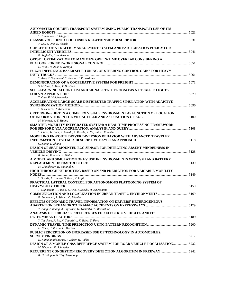| AUTOMATED COURIER TRANSPORT SYSTEM USING PUBLIC TRANSPORT: USE OF ITS-                                 |  |
|--------------------------------------------------------------------------------------------------------|--|
| T. Yamamoto, H. Ishiguro                                                                               |  |
| Y. Liu, S. Ono, K. Ikeuchi                                                                             |  |
| CONCEPTS OF A TRAFFIC MANAGEMENT SYSTEM AND PARTICIPATION POLICY FOR                                   |  |
| R. Reghelin, L. de Arruda                                                                              |  |
| OFFSET OPTIMIZATION TO MAXIMIZE GREEN-TIME OVERLAP CONSIDERING A<br>H. Niimi, N. Aoki, S. Kamijo       |  |
| FUZZY INFERENCE-BASED SELF-TUNING OF STEERING CONTROL GAINS FOR HEAVY-                                 |  |
| T. Ario, T. Sugimachi, T. Fukao, H. Kawashima                                                          |  |
| S. Meland, A. Holt, T. Hovland                                                                         |  |
| SELF-LEARNING ALGORITHM AND SIGNAL STATE PROGNOSIS AT TRAFFIC LIGHTS                                   |  |
| T. Otto, F. Weichenmeier                                                                               |  |
| ACCELERATING LARGE-SCALE DISTRIBUTED TRAFFIC SIMULATION WITH ADAPTIVE                                  |  |
| T. Suzumura, H. Kanezashi                                                                              |  |
| <b>CRITERION-SHIFT IN A COMPLEX VISUAL ENVIRONMENT AS FUNCTION OF LOCATION</b>                         |  |
| M. Menozzi, Y.-Y. Huang                                                                                |  |
| SMARTER MOBILITY INTEGRATED SYSTEM: A REAL TIME PROCESSING FRAMEWORK                                   |  |
| T. Chiba, H. Imai, K. Maeda, A. Koseki, Y. Negishi, H. Komatsu                                         |  |
| <b>MODELING EN-ROUTE DRIVER DIVERSION BEHAVIOR WITH ADVANCED TRAVELER</b>                              |  |
| C. Xiong, L. Zhang<br><b>DESIGN OF SEAT-MOUNTED ECG SENSOR FOR DETECTING ABSENT-MINDEDNESS IN</b>      |  |
| K. Yanai, K. Sakai, K. Nishii                                                                          |  |
| A MODEL AND SIMULATION OF EV USE IN ENVIRONMENTS WITH V2H AND BATTERY                                  |  |
|                                                                                                        |  |
| M. Zhanikeevy, H. Watanabey                                                                            |  |
| HIGH THROUGHPUT ROUTING BASED ON SNR PREDICTION FOR VARIABLE MOBILITY                                  |  |
| T. Suzuki, T. Kimura, S. Kako, T. Fujii                                                                |  |
| PRACTICAL LATERAL CONTROL FOR AUTONOMOUS PLATOONING SYSTEM OF                                          |  |
| T. Sugimachi, T. Fukao, T. Ario, Y. Suzuki, H. Kawashima                                               |  |
| R. Baumbach, R. Weber, O. Michler                                                                      |  |
| <b>EFFECTS OF DYNAMIC TRAVEL INFORMATION ON DRIVERS' HETEROGENEOUS</b>                                 |  |
| Y. Jiang, J. Zhang, A. Fujiwara, H. Tomitaka, T. Matsushita                                            |  |
| ANALYSIS OF PURCHASE PREFERENCES FOR ELECTRIC VEHICLES AND ITS                                         |  |
| Y. Tsuchiya, F. Ito, N. Tagashira, K. Baba, T. Ikeya                                                   |  |
|                                                                                                        |  |
| H. Chen, H. Rakha, C. McGhee                                                                           |  |
| PUBLIC PERCEPTION ON INCREASED USE OF TECHNOLOGY IN AUTOMOBILES:                                       |  |
| K. Kamalanathsharma, I. Zohdy, H. Rakha                                                                |  |
| DESIGN OF A MOBILE GNSS REFERENCE SYSTEM FOR ROAD VEHICLE LOCALISATION5232<br>M. Wegener, E. Schnieder |  |
| K. Hiriotappa, S. Thajchayapong                                                                        |  |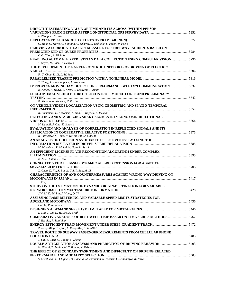| DIRECTLY ESTIMATING VALUE OF TIME AND ITS ACROSS-/WITHIN-PERSON                                             |  |
|-------------------------------------------------------------------------------------------------------------|--|
|                                                                                                             |  |
| L. Zhang, C. Krause                                                                                         |  |
|                                                                                                             |  |
| C. Maki, C. Marte, C. Fontana, C. Sakurai, L. Yoshioka, L. Peron, P. Facin                                  |  |
| DERIVING A SURROGATE SAFETY MEASURE FOR FREEWAY INCIDENTS BASED ON                                          |  |
|                                                                                                             |  |
| C.-S. Chou, A. Nichols                                                                                      |  |
| <b>ENABLING AUTOMATED PEDESTRIAN DATA COLLECTION USING COMPUTER VISION 5296</b>                             |  |
| T. Sayed, M. Zaki, H. Hediyeh                                                                               |  |
| THE DEVELOPMENT OF A GREEN CONTROL UNIT FOR ECO-DRIVING OF ELECTRIC                                         |  |
| F.-C. Chou, K. Li, L.-W. Jeng                                                                               |  |
|                                                                                                             |  |
| Y. Wang, J. van Schuppen, J. Vrancken                                                                       |  |
| IMPROVING MOVING JAM DETECTION PERFORMANCE WITH V2I COMMUNICATION 5332                                      |  |
| B. Netten, A. Hegyi, B. Arem, C. Leeuwen, T. Alkim                                                          |  |
| FUEL-OPTIMAL VEHICLE THROTTLE CONTROL: MODEL LOGIC AND PRELIMINARY                                          |  |
|                                                                                                             |  |
| R. Kamalanathsharma, H. Rakha                                                                               |  |
| ON-VEHICLE VIDEOS LOCALIZATION USING GEOMETRIC AND SPATIO-TEMPORAL                                          |  |
|                                                                                                             |  |
| K. Fukumoto, H. Kawasaki, S. Ono, H. Koyasu, K. Ikeuchi                                                     |  |
| DETECTING AND STABILIZING SHAKY SEGMENTS IN LONG OMNIDIRECTIONAL                                            |  |
|                                                                                                             |  |
| M. Kamali, S. Ono, K. Ikeuchi                                                                               |  |
| <b>EVALUATION AND ANALYSIS OF CORRELATION IN REFLECTED SIGNALS AND ITS</b>                                  |  |
|                                                                                                             |  |
| R. Furukawa, S. Tang, N. Kawanishi, M. Ohashi                                                               |  |
| AN ANALYSIS OF COLLISION AVOIDANCE EFFECTIVENESS BY USING THE                                               |  |
| M. Mochizuki, R. Mukai, K. Goto, K. Suzuki                                                                  |  |
| AN EFFICIENT LICENSE PLATE RECOGNITION ALGORITHM UNDER COMPLEX                                              |  |
|                                                                                                             |  |
| B. Zou, D. Zou, F. Gao                                                                                      |  |
| CONNECTED VEHICLE BASED DYNAMIC ALL-RED EXTENSION FOR ADAPTIVE                                              |  |
|                                                                                                             |  |
| X. Chen, D. Xu, X. Lin, X. Cui, T. Sun, M. Li                                                               |  |
| <b>CHARACTERISTICS OF AND COUNTERMEASURES AGAINST WRONG-WAY DRIVING ON</b>                                  |  |
|                                                                                                             |  |
| J. Xing                                                                                                     |  |
| STUDY ON THE ESTIMATION OF DYNAMIC ORIGIN-DESTINATION FOR VARIABLE                                          |  |
|                                                                                                             |  |
| J.W. Li, D.-M. Liu, J. Wang, Q. Yi                                                                          |  |
| ASSESSING RAMP METERING AND VARIABLE SPEED LIMITS STRATEGIES FOR                                            |  |
|                                                                                                             |  |
| Duo Li, P. Ranjitkar                                                                                        |  |
|                                                                                                             |  |
| L. Sun, J. Jin, D.-H. Lee, A. Erath                                                                         |  |
| <b>COMPARATIVE ANALYSIS OF BUS DWELL TIME BASED ON TIME SERIES METHODS 5462</b><br>S. Rashidi, P. Ranjitkar |  |
|                                                                                                             |  |
| Z. Fang-Ming, Y. Qian, L. Dong-Mei, L. Jun-Wei                                                              |  |
| <b>TRAVEL ROUTE OF SUBWAY PASSENGER MEASUREMENTS FROM CELLULAR PHONE</b>                                    |  |
|                                                                                                             |  |
| J. Lai, Y. Chen, G. Zhang, Y. Zhong                                                                         |  |
|                                                                                                             |  |
| K. Hitomi, T. Taniguchi, T. Bando, K. Takenaka                                                              |  |
| THE EFFECT OF SECONDARY TASK TIMING AND DIFFICULTY ON DRIVING-RELATED                                       |  |
|                                                                                                             |  |
| S. Mizobuchi, M. Chignell, D. Canella, M. Eizenman, S. Yoshizu, C. Sannomiya, K. Nawa                       |  |
|                                                                                                             |  |